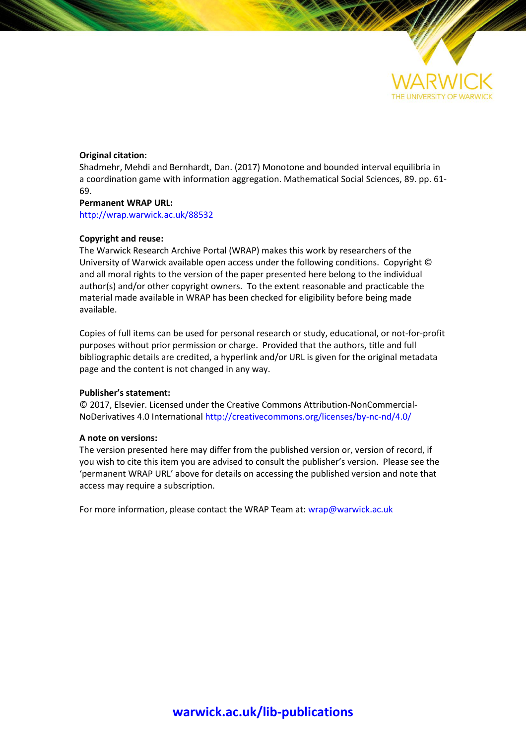

#### **Original citation:**

Shadmehr, Mehdi and Bernhardt, Dan. (2017) Monotone and bounded interval equilibria in a coordination game with information aggregation. Mathematical Social Sciences, 89. pp. 61- 69.

#### **Permanent WRAP URL:**

<http://wrap.warwick.ac.uk/88532>

#### **Copyright and reuse:**

The Warwick Research Archive Portal (WRAP) makes this work by researchers of the University of Warwick available open access under the following conditions. Copyright © and all moral rights to the version of the paper presented here belong to the individual author(s) and/or other copyright owners. To the extent reasonable and practicable the material made available in WRAP has been checked for eligibility before being made available.

Copies of full items can be used for personal research or study, educational, or not-for-profit purposes without prior permission or charge. Provided that the authors, title and full bibliographic details are credited, a hyperlink and/or URL is given for the original metadata page and the content is not changed in any way.

#### **Publisher's statement:**

© 2017, Elsevier. Licensed under the Creative Commons Attribution-NonCommercial-NoDerivatives 4.0 International<http://creativecommons.org/licenses/by-nc-nd/4.0/>

#### **A note on versions:**

The version presented here may differ from the published version or, version of record, if you wish to cite this item you are advised to consult the publisher's version. Please see the 'permanent WRAP URL' above for details on accessing the published version and note that access may require a subscription.

For more information, please contact the WRAP Team at[: wrap@warwick.ac.uk](mailto:wrap@warwick.ac.uk)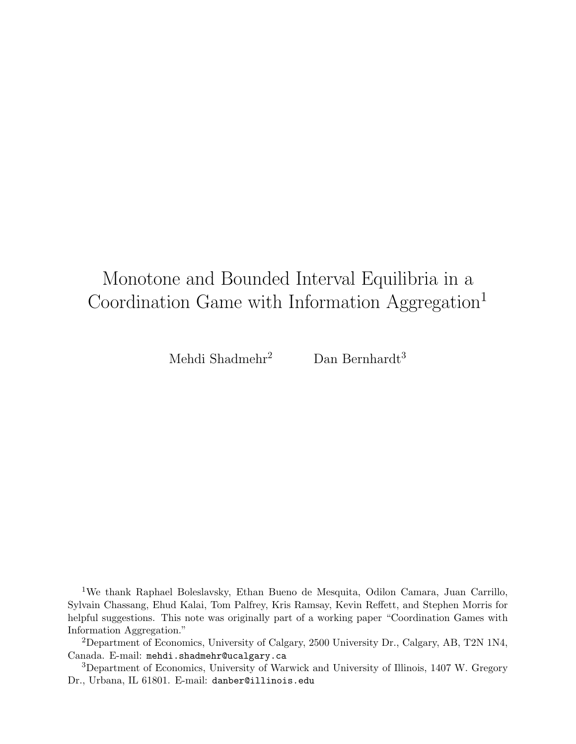# Monotone and Bounded Interval Equilibria in a Coordination Game with Information Aggregation<sup>1</sup>

Mehdi Shadmehr<sup>2</sup> Dan Bernhardt<sup>3</sup>

<sup>1</sup>We thank Raphael Boleslavsky, Ethan Bueno de Mesquita, Odilon Camara, Juan Carrillo, Sylvain Chassang, Ehud Kalai, Tom Palfrey, Kris Ramsay, Kevin Reffett, and Stephen Morris for helpful suggestions. This note was originally part of a working paper "Coordination Games with Information Aggregation."

<sup>2</sup>Department of Economics, University of Calgary, 2500 University Dr., Calgary, AB, T2N 1N4, Canada. E-mail: mehdi.shadmehr@ucalgary.ca

<sup>3</sup>Department of Economics, University of Warwick and University of Illinois, 1407 W. Gregory Dr., Urbana, IL 61801. E-mail: danber@illinois.edu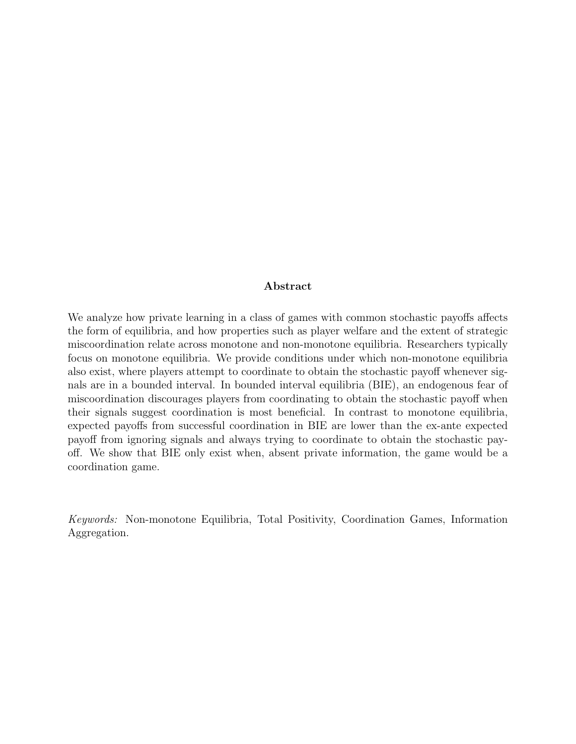#### Abstract

We analyze how private learning in a class of games with common stochastic payoffs affects the form of equilibria, and how properties such as player welfare and the extent of strategic miscoordination relate across monotone and non-monotone equilibria. Researchers typically focus on monotone equilibria. We provide conditions under which non-monotone equilibria also exist, where players attempt to coordinate to obtain the stochastic payoff whenever signals are in a bounded interval. In bounded interval equilibria (BIE), an endogenous fear of miscoordination discourages players from coordinating to obtain the stochastic payoff when their signals suggest coordination is most beneficial. In contrast to monotone equilibria, expected payoffs from successful coordination in BIE are lower than the ex-ante expected payoff from ignoring signals and always trying to coordinate to obtain the stochastic payoff. We show that BIE only exist when, absent private information, the game would be a coordination game.

Keywords: Non-monotone Equilibria, Total Positivity, Coordination Games, Information Aggregation.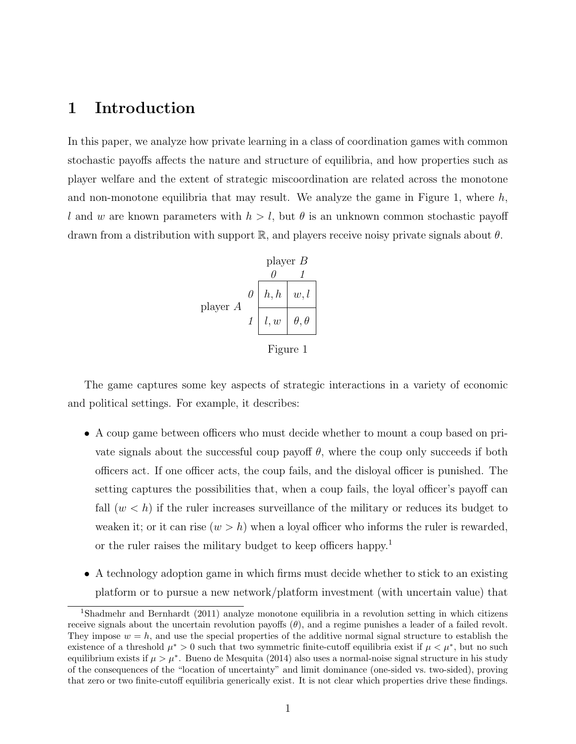# 1 Introduction

In this paper, we analyze how private learning in a class of coordination games with common stochastic payoffs affects the nature and structure of equilibria, and how properties such as player welfare and the extent of strategic miscoordination are related across the monotone and non-monotone equilibria that may result. We analyze the game in Figure 1, where  $h$ , l and w are known parameters with  $h > l$ , but  $\theta$  is an unknown common stochastic payoff drawn from a distribution with support  $\mathbb{R}$ , and players receive noisy private signals about  $\theta$ .

$$
\text{player } B
$$
\n
$$
\begin{array}{c|c}\n & 0 & 1 \\
\hline\n0 & h, h & w, l \\
\hline\n1 & l, w & \theta, \theta\n\end{array}
$$

Figure 1

The game captures some key aspects of strategic interactions in a variety of economic and political settings. For example, it describes:

- A coup game between officers who must decide whether to mount a coup based on private signals about the successful coup payoff  $\theta$ , where the coup only succeeds if both officers act. If one officer acts, the coup fails, and the disloyal officer is punished. The setting captures the possibilities that, when a coup fails, the loyal officer's payoff can fall  $(w < h)$  if the ruler increases surveillance of the military or reduces its budget to weaken it; or it can rise  $(w > h)$  when a loyal officer who informs the ruler is rewarded, or the ruler raises the military budget to keep officers happy.<sup>1</sup>
- A technology adoption game in which firms must decide whether to stick to an existing platform or to pursue a new network/platform investment (with uncertain value) that

<sup>1</sup>Shadmehr and Bernhardt (2011) analyze monotone equilibria in a revolution setting in which citizens receive signals about the uncertain revolution payoffs  $(\theta)$ , and a regime punishes a leader of a failed revolt. They impose  $w = h$ , and use the special properties of the additive normal signal structure to establish the existence of a threshold  $\mu^* > 0$  such that two symmetric finite-cutoff equilibria exist if  $\mu < \mu^*$ , but no such equilibrium exists if  $\mu > \mu^*$ . Bueno de Mesquita (2014) also uses a normal-noise signal structure in his study of the consequences of the "location of uncertainty" and limit dominance (one-sided vs. two-sided), proving that zero or two finite-cutoff equilibria generically exist. It is not clear which properties drive these findings.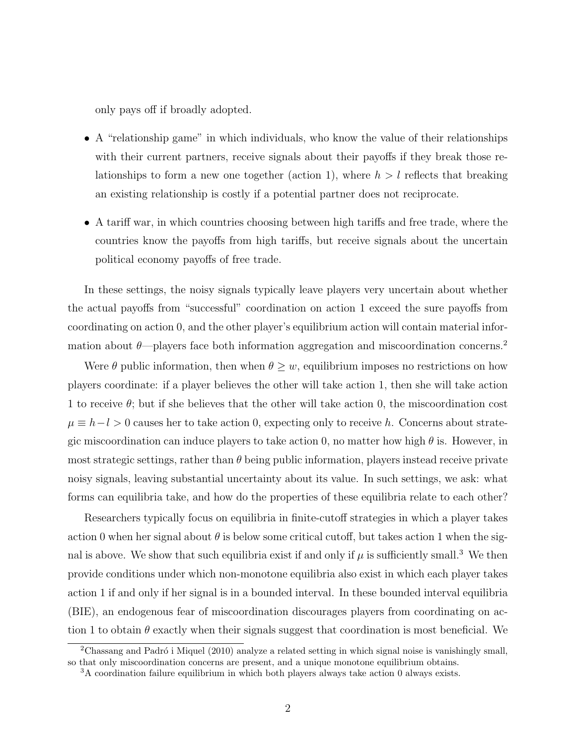only pays off if broadly adopted.

- A "relationship game" in which individuals, who know the value of their relationships with their current partners, receive signals about their payoffs if they break those relationships to form a new one together (action 1), where  $h > l$  reflects that breaking an existing relationship is costly if a potential partner does not reciprocate.
- A tariff war, in which countries choosing between high tariffs and free trade, where the countries know the payoffs from high tariffs, but receive signals about the uncertain political economy payoffs of free trade.

In these settings, the noisy signals typically leave players very uncertain about whether the actual payoffs from "successful" coordination on action 1 exceed the sure payoffs from coordinating on action 0, and the other player's equilibrium action will contain material information about  $\theta$ —players face both information aggregation and miscoordination concerns.<sup>2</sup>

Were  $\theta$  public information, then when  $\theta \geq w$ , equilibrium imposes no restrictions on how players coordinate: if a player believes the other will take action 1, then she will take action 1 to receive  $\theta$ ; but if she believes that the other will take action 0, the miscoordination cost  $\mu \equiv h - l > 0$  causes her to take action 0, expecting only to receive h. Concerns about strategic miscoordination can induce players to take action 0, no matter how high  $\theta$  is. However, in most strategic settings, rather than  $\theta$  being public information, players instead receive private noisy signals, leaving substantial uncertainty about its value. In such settings, we ask: what forms can equilibria take, and how do the properties of these equilibria relate to each other?

Researchers typically focus on equilibria in finite-cutoff strategies in which a player takes action 0 when her signal about  $\theta$  is below some critical cutoff, but takes action 1 when the signal is above. We show that such equilibria exist if and only if  $\mu$  is sufficiently small.<sup>3</sup> We then provide conditions under which non-monotone equilibria also exist in which each player takes action 1 if and only if her signal is in a bounded interval. In these bounded interval equilibria (BIE), an endogenous fear of miscoordination discourages players from coordinating on action 1 to obtain  $\theta$  exactly when their signals suggest that coordination is most beneficial. We

 $2\overline{\text{Chassang and Padró i Miquel (2010)}}$  analyze a related setting in which signal noise is vanishingly small, so that only miscoordination concerns are present, and a unique monotone equilibrium obtains.

<sup>3</sup>A coordination failure equilibrium in which both players always take action 0 always exists.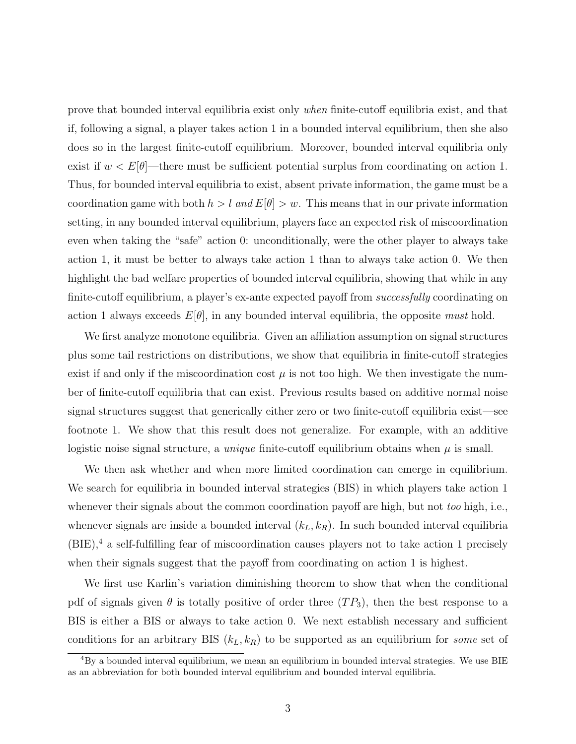prove that bounded interval equilibria exist only when finite-cutoff equilibria exist, and that if, following a signal, a player takes action 1 in a bounded interval equilibrium, then she also does so in the largest finite-cutoff equilibrium. Moreover, bounded interval equilibria only exist if  $w < E[\theta]$ —there must be sufficient potential surplus from coordinating on action 1. Thus, for bounded interval equilibria to exist, absent private information, the game must be a coordination game with both  $h > l$  and  $E[\theta] > w$ . This means that in our private information setting, in any bounded interval equilibrium, players face an expected risk of miscoordination even when taking the "safe" action 0: unconditionally, were the other player to always take action 1, it must be better to always take action 1 than to always take action 0. We then highlight the bad welfare properties of bounded interval equilibria, showing that while in any finite-cutoff equilibrium, a player's ex-ante expected payoff from *successfully* coordinating on action 1 always exceeds  $E[\theta]$ , in any bounded interval equilibria, the opposite must hold.

We first analyze monotone equilibria. Given an affiliation assumption on signal structures plus some tail restrictions on distributions, we show that equilibria in finite-cutoff strategies exist if and only if the miscoordination cost  $\mu$  is not too high. We then investigate the number of finite-cutoff equilibria that can exist. Previous results based on additive normal noise signal structures suggest that generically either zero or two finite-cutoff equilibria exist—see footnote 1. We show that this result does not generalize. For example, with an additive logistic noise signal structure, a *unique* finite-cutoff equilibrium obtains when  $\mu$  is small.

We then ask whether and when more limited coordination can emerge in equilibrium. We search for equilibria in bounded interval strategies (BIS) in which players take action 1 whenever their signals about the common coordination payoff are high, but not *too* high, i.e., whenever signals are inside a bounded interval  $(k_L, k_R)$ . In such bounded interval equilibria  $(BIE),<sup>4</sup>$  a self-fulfilling fear of miscoordination causes players not to take action 1 precisely when their signals suggest that the payoff from coordinating on action 1 is highest.

We first use Karlin's variation diminishing theorem to show that when the conditional pdf of signals given  $\theta$  is totally positive of order three  $(T P_3)$ , then the best response to a BIS is either a BIS or always to take action 0. We next establish necessary and sufficient conditions for an arbitrary BIS  $(k_L, k_R)$  to be supported as an equilibrium for some set of

 ${}^{4}$ By a bounded interval equilibrium, we mean an equilibrium in bounded interval strategies. We use BIE as an abbreviation for both bounded interval equilibrium and bounded interval equilibria.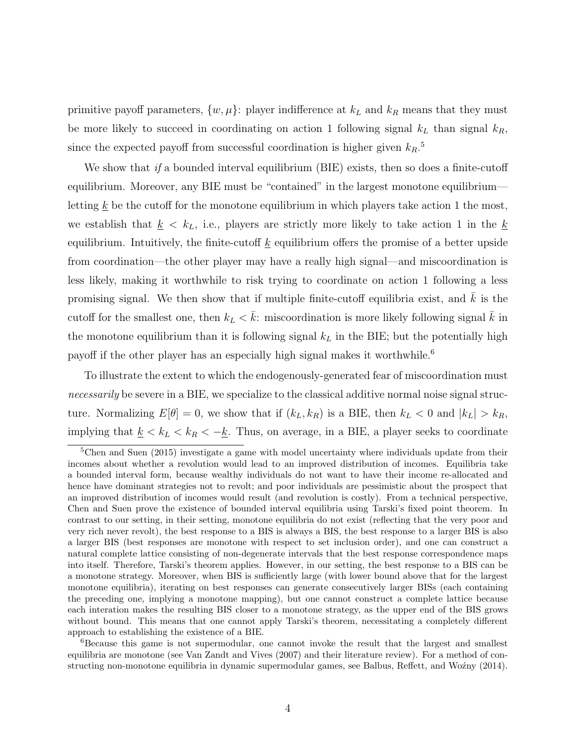primitive payoff parameters,  $\{w, \mu\}$ : player indifference at  $k_L$  and  $k_R$  means that they must be more likely to succeed in coordinating on action 1 following signal  $k<sub>L</sub>$  than signal  $k<sub>R</sub>$ , since the expected payoff from successful coordination is higher given  $k_R$ <sup>5</sup>

We show that if a bounded interval equilibrium (BIE) exists, then so does a finite-cutoff equilibrium. Moreover, any BIE must be "contained" in the largest monotone equilibrium letting  $\underline{k}$  be the cutoff for the monotone equilibrium in which players take action 1 the most, we establish that  $k \leq k_L$ , i.e., players are strictly more likely to take action 1 in the  $k$ equilibrium. Intuitively, the finite-cutoff  $k$  equilibrium offers the promise of a better upside from coordination—the other player may have a really high signal—and miscoordination is less likely, making it worthwhile to risk trying to coordinate on action 1 following a less promising signal. We then show that if multiple finite-cutoff equilibria exist, and  $k$  is the cutoff for the smallest one, then  $k_L < k$ : miscoordination is more likely following signal k in the monotone equilibrium than it is following signal  $k<sub>L</sub>$  in the BIE; but the potentially high payoff if the other player has an especially high signal makes it worthwhile.<sup>6</sup>

To illustrate the extent to which the endogenously-generated fear of miscoordination must necessarily be severe in a BIE, we specialize to the classical additive normal noise signal structure. Normalizing  $E[\theta] = 0$ , we show that if  $(k_L, k_R)$  is a BIE, then  $k_L < 0$  and  $|k_L| > k_R$ , implying that  $\underline{k} < k_L < k_R < -\underline{k}$ . Thus, on average, in a BIE, a player seeks to coordinate

<sup>5</sup>Chen and Suen (2015) investigate a game with model uncertainty where individuals update from their incomes about whether a revolution would lead to an improved distribution of incomes. Equilibria take a bounded interval form, because wealthy individuals do not want to have their income re-allocated and hence have dominant strategies not to revolt; and poor individuals are pessimistic about the prospect that an improved distribution of incomes would result (and revolution is costly). From a technical perspective, Chen and Suen prove the existence of bounded interval equilibria using Tarski's fixed point theorem. In contrast to our setting, in their setting, monotone equilibria do not exist (reflecting that the very poor and very rich never revolt), the best response to a BIS is always a BIS, the best response to a larger BIS is also a larger BIS (best responses are monotone with respect to set inclusion order), and one can construct a natural complete lattice consisting of non-degenerate intervals that the best response correspondence maps into itself. Therefore, Tarski's theorem applies. However, in our setting, the best response to a BIS can be a monotone strategy. Moreover, when BIS is sufficiently large (with lower bound above that for the largest monotone equilibria), iterating on best responses can generate consecutively larger BISs (each containing the preceding one, implying a monotone mapping), but one cannot construct a complete lattice because each interation makes the resulting BIS closer to a monotone strategy, as the upper end of the BIS grows without bound. This means that one cannot apply Tarski's theorem, necessitating a completely different approach to establishing the existence of a BIE.

<sup>6</sup>Because this game is not supermodular, one cannot invoke the result that the largest and smallest equilibria are monotone (see Van Zandt and Vives (2007) and their literature review). For a method of constructing non-monotone equilibria in dynamic supermodular games, see Balbus, Reffett, and Woźny (2014).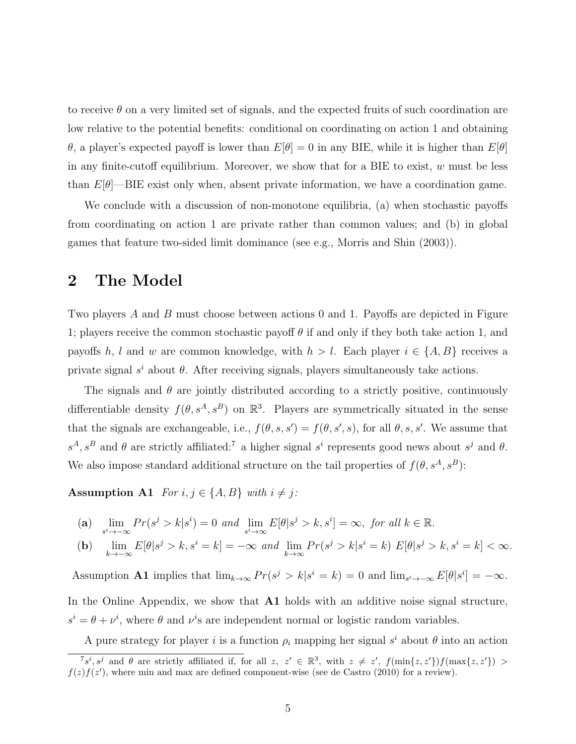to receive  $\theta$  on a very limited set of signals, and the expected fruits of such coordination are low relative to the potential benefits: conditional on coordinating on action 1 and obtaining θ, a player's expected payoff is lower than  $E[\theta] = 0$  in any BIE, while it is higher than  $E[\theta]$ in any finite-cutoff equilibrium. Moreover, we show that for a BIE to exist,  $w$  must be less than  $E[\theta]$ —BIE exist only when, absent private information, we have a coordination game.

We conclude with a discussion of non-monotone equilibria, (a) when stochastic payoffs from coordinating on action 1 are private rather than common values; and (b) in global games that feature two-sided limit dominance (see e.g., Morris and Shin (2003)).

### 2 The Model

Two players A and B must choose between actions 0 and 1. Payoffs are depicted in Figure 1; players receive the common stochastic payoff  $\theta$  if and only if they both take action 1, and payoffs h, l and w are common knowledge, with  $h > l$ . Each player  $i \in \{A, B\}$  receives a private signal  $s^i$  about  $\theta$ . After receiving signals, players simultaneously take actions.

The signals and  $\theta$  are jointly distributed according to a strictly positive, continuously differentiable density  $f(\theta, s^A, s^B)$  on  $\mathbb{R}^3$ . Players are symmetrically situated in the sense that the signals are exchangeable, i.e.,  $f(\theta, s, s') = f(\theta, s', s)$ , for all  $\theta, s, s'$ . We assume that  $s^A$ ,  $s^B$  and  $\theta$  are strictly affiliated:<sup>7</sup> a higher signal  $s^i$  represents good news about  $s^j$  and  $\theta$ . We also impose standard additional structure on the tail properties of  $f(\theta, s^A, s^B)$ :

Assumption A1 For  $i, j \in \{A, B\}$  with  $i \neq j$ :

(a) 
$$
\lim_{s^i \to -\infty} Pr(s^j > k | s^i) = 0
$$
 and  $\lim_{s^i \to \infty} E[\theta | s^j > k, s^i] = \infty$ , for all  $k \in \mathbb{R}$ .

(b) 
$$
\lim_{k \to -\infty} E[\theta | s^j > k, s^i = k] = -\infty \text{ and } \lim_{k \to \infty} Pr(s^j > k | s^i = k) E[\theta | s^j > k, s^i = k] < \infty.
$$

Assumption **A1** implies that  $\lim_{k\to\infty} Pr(s^j > k | s^i = k) = 0$  and  $\lim_{s^i \to -\infty} E[\theta | s^i] = -\infty$ . In the Online Appendix, we show that  $A1$  holds with an additive noise signal structure.  $s^i = \theta + \nu^i$ , where  $\theta$  and  $\nu^i$ s are independent normal or logistic random variables.

A pure strategy for player i is a function  $\rho_i$  mapping her signal  $s^i$  about  $\theta$  into an action

 $7s^i$ ,  $s^j$  and  $\theta$  are strictly affiliated if, for all  $z, z' \in \mathbb{R}^3$ , with  $z \neq z'$ ,  $f(\min\{z, z'\})f(\max\{z, z'\}) >$  $f(z) f(z')$ , where min and max are defined component-wise (see de Castro (2010) for a review).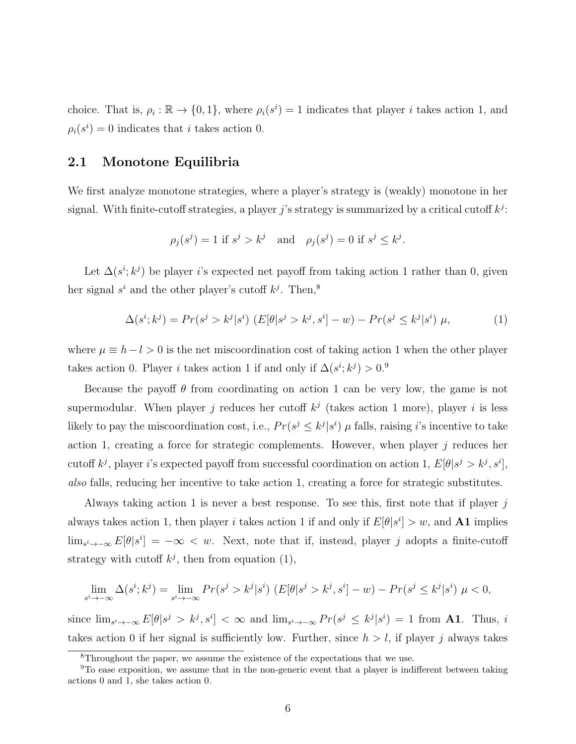choice. That is,  $\rho_i : \mathbb{R} \to \{0, 1\}$ , where  $\rho_i(s^i) = 1$  indicates that player *i* takes action 1, and  $\rho_i(s^i) = 0$  indicates that *i* takes action 0.

#### 2.1 Monotone Equilibria

We first analyze monotone strategies, where a player's strategy is (weakly) monotone in her signal. With finite-cutoff strategies, a player j's strategy is summarized by a critical cutoff  $k^j$ :

$$
\rho_j(s^j) = 1 \text{ if } s^j > k^j \quad \text{and} \quad \rho_j(s^j) = 0 \text{ if } s^j \le k^j.
$$

Let  $\Delta(s^i; k^j)$  be player i's expected net payoff from taking action 1 rather than 0, given her signal  $s^i$  and the other player's cutoff  $k^j$ . Then,<sup>8</sup>

$$
\Delta(s^i; k^j) = Pr(s^j > k^j | s^i) \left( E[\theta | s^j > k^j, s^i] - w \right) - Pr(s^j \le k^j | s^i) \mu,\tag{1}
$$

where  $\mu \equiv h - l > 0$  is the net miscoordination cost of taking action 1 when the other player takes action 0. Player *i* takes action 1 if and only if  $\Delta(s^i; k^j) > 0$ .<sup>9</sup>

Because the payoff  $\theta$  from coordinating on action 1 can be very low, the game is not supermodular. When player j reduces her cutoff  $k<sup>j</sup>$  (takes action 1 more), player i is less likely to pay the miscoordination cost, i.e.,  $Pr(s^j \leq k^j | s^i)$   $\mu$  falls, raising *i*'s incentive to take action 1, creating a force for strategic complements. However, when player  $j$  reduces her cutoff  $k^j$ , player i's expected payoff from successful coordination on action 1,  $E[\theta|s^j > k^j, s^i]$ , also falls, reducing her incentive to take action 1, creating a force for strategic substitutes.

Always taking action 1 is never a best response. To see this, first note that if player  $j$ always takes action 1, then player *i* takes action 1 if and only if  $E[\theta|s^i] > w$ , and **A1** implies  $\lim_{s^i \to -\infty} E[\theta | s^i] = -\infty < w$ . Next, note that if, instead, player j adopts a finite-cutoff strategy with cutoff  $k^j$ , then from equation (1),

$$
\lim_{s^i \to -\infty} \Delta(s^i; k^j) = \lim_{s^i \to -\infty} Pr(s^j > k^j | s^i) \left( E[\theta | s^j > k^j, s^i] - w \right) - Pr(s^j \le k^j | s^i) \mu < 0,
$$

since  $\lim_{s^i \to -\infty} E[\theta|s^j > k^j, s^i] < \infty$  and  $\lim_{s^i \to -\infty} Pr(s^j \le k^j | s^i) = 1$  from **A1**. Thus, i takes action 0 if her signal is sufficiently low. Further, since  $h > l$ , if player j always takes

<sup>8</sup>Throughout the paper, we assume the existence of the expectations that we use.

<sup>&</sup>lt;sup>9</sup>To ease exposition, we assume that in the non-generic event that a player is indifferent between taking actions 0 and 1, she takes action 0.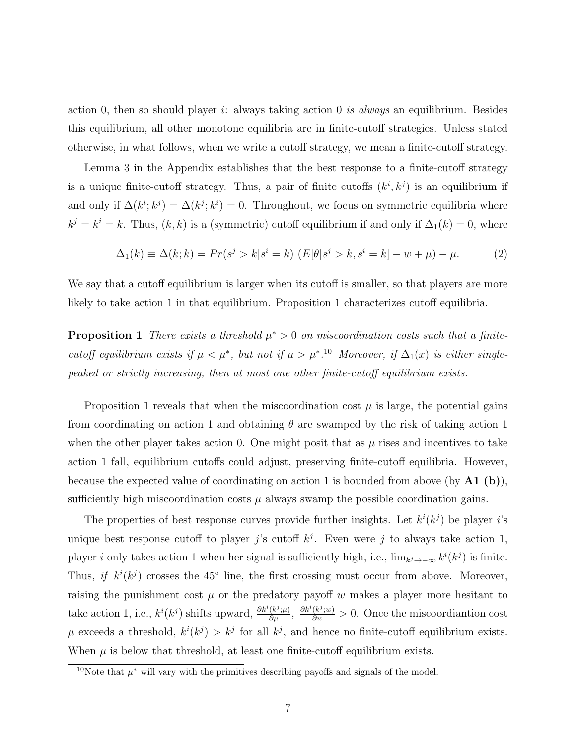action 0, then so should player i: always taking action 0 is always an equilibrium. Besides this equilibrium, all other monotone equilibria are in finite-cutoff strategies. Unless stated otherwise, in what follows, when we write a cutoff strategy, we mean a finite-cutoff strategy.

Lemma 3 in the Appendix establishes that the best response to a finite-cutoff strategy is a unique finite-cutoff strategy. Thus, a pair of finite cutoffs  $(k^i, k^j)$  is an equilibrium if and only if  $\Delta(k^i; k^j) = \Delta(k^j; k^i) = 0$ . Throughout, we focus on symmetric equilibria where  $k^{j} = k^{i} = k$ . Thus,  $(k, k)$  is a (symmetric) cutoff equilibrium if and only if  $\Delta_{1}(k) = 0$ , where

$$
\Delta_1(k) \equiv \Delta(k; k) = Pr(s^j > k | s^i = k) \ (E[\theta | s^j > k, s^i = k] - w + \mu) - \mu. \tag{2}
$$

We say that a cutoff equilibrium is larger when its cutoff is smaller, so that players are more likely to take action 1 in that equilibrium. Proposition 1 characterizes cutoff equilibria.

**Proposition 1** There exists a threshold  $\mu^* > 0$  on miscoordination costs such that a finitecutoff equilibrium exists if  $\mu < \mu^*$ , but not if  $\mu > \mu^{*}$ .<sup>10</sup> Moreover, if  $\Delta_1(x)$  is either singlepeaked or strictly increasing, then at most one other finite-cutoff equilibrium exists.

Proposition 1 reveals that when the miscoordination cost  $\mu$  is large, the potential gains from coordinating on action 1 and obtaining  $\theta$  are swamped by the risk of taking action 1 when the other player takes action 0. One might posit that as  $\mu$  rises and incentives to take action 1 fall, equilibrium cutoffs could adjust, preserving finite-cutoff equilibria. However, because the expected value of coordinating on action 1 is bounded from above (by  $\mathbf{A1}$  (b)), sufficiently high miscoordination costs  $\mu$  always swamp the possible coordination gains.

The properties of best response curves provide further insights. Let  $k^{i}(k^{j})$  be player i's unique best response cutoff to player j's cutoff  $k^j$ . Even were j to always take action 1, player *i* only takes action 1 when her signal is sufficiently high, i.e.,  $\lim_{k \to -\infty} k^{i}(k^{j})$  is finite. Thus, if  $k^{i}(k^{j})$  crosses the 45° line, the first crossing must occur from above. Moreover, raising the punishment cost  $\mu$  or the predatory payoff w makes a player more hesitant to take action 1, i.e.,  $k^i(k^j)$  shifts upward,  $\frac{\partial k^i(k^j;\mu)}{\partial \mu}$ ,  $\frac{\partial k^i(k^j;\omega)}{\partial w} > 0$ . Once the miscoordiantion cost  $\mu$  exceeds a threshold,  $k^{i}(k^{j}) > k^{j}$  for all  $k^{j}$ , and hence no finite-cutoff equilibrium exists. When  $\mu$  is below that threshold, at least one finite-cutoff equilibrium exists.

<sup>&</sup>lt;sup>10</sup>Note that  $\mu^*$  will vary with the primitives describing payoffs and signals of the model.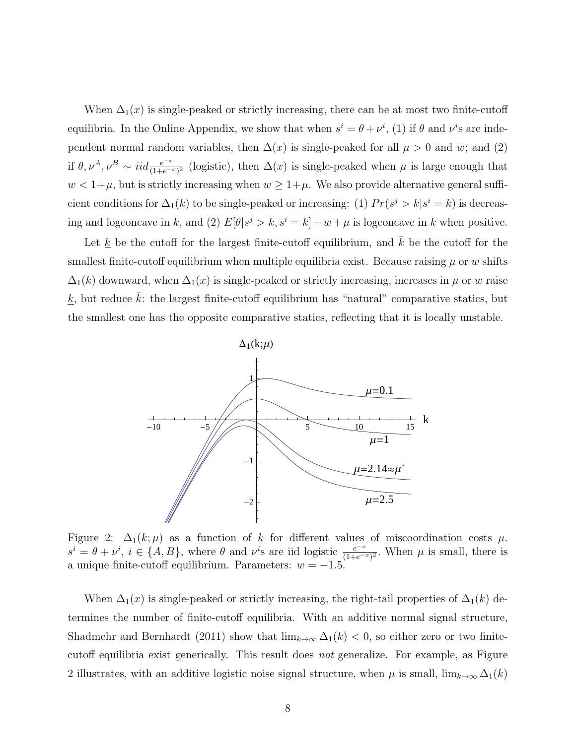When  $\Delta_1(x)$  is single-peaked or strictly increasing, there can be at most two finite-cutoff equilibria. In the Online Appendix, we show that when  $s^i = \theta + \nu^i$ , (1) if  $\theta$  and  $\nu^i$ s are independent normal random variables, then  $\Delta(x)$  is single-peaked for all  $\mu > 0$  and w; and (2) if  $\theta, \nu^A, \nu^B \sim \text{iid} \frac{e^{-x}}{(1+e^{-x})^2}$  (logistic), then  $\Delta(x)$  is single-peaked when  $\mu$  is large enough that  $w < 1+\mu$ , but is strictly increasing when  $w \geq 1+\mu$ . We also provide alternative general sufficient conditions for  $\Delta_1(k)$  to be single-peaked or increasing: (1)  $Pr(s^j > k | s^i = k)$  is decreasing and logconcave in k, and (2)  $E[\theta|s^j > k, s^i = k] - w + \mu$  is logconcave in k when positive.

Let  $\underline{k}$  be the cutoff for the largest finite-cutoff equilibrium, and  $k$  be the cutoff for the smallest finite-cutoff equilibrium when multiple equilibria exist. Because raising  $\mu$  or w shifts  $\Delta_1(k)$  downward, when  $\Delta_1(x)$  is single-peaked or strictly increasing, increases in  $\mu$  or w raise  $\underline{k}$ , but reduce  $\overline{k}$ : the largest finite-cutoff equilibrium has "natural" comparative statics, but the smallest one has the opposite comparative statics, reflecting that it is locally unstable.



Figure 2:  $\Delta_1(k;\mu)$  as a function of k for different values of miscoordination costs  $\mu$ .  $s^i = \theta + \nu^i$ ,  $i \in \{A, B\}$ , where  $\theta$  and  $\nu^i$ s are iid logistic  $\frac{e^{-x}}{(1+e^{-x})^2}$ . When  $\mu$  is small, there is a unique finite-cutoff equilibrium. Parameters:  $w = -1.5$ .

When  $\Delta_1(x)$  is single-peaked or strictly increasing, the right-tail properties of  $\Delta_1(k)$  determines the number of finite-cutoff equilibria. With an additive normal signal structure, Shadmehr and Bernhardt (2011) show that  $\lim_{k\to\infty} \Delta_1(k) < 0$ , so either zero or two finitecutoff equilibria exist generically. This result does not generalize. For example, as Figure 2 illustrates, with an additive logistic noise signal structure, when  $\mu$  is small,  $\lim_{k\to\infty} \Delta_1(k)$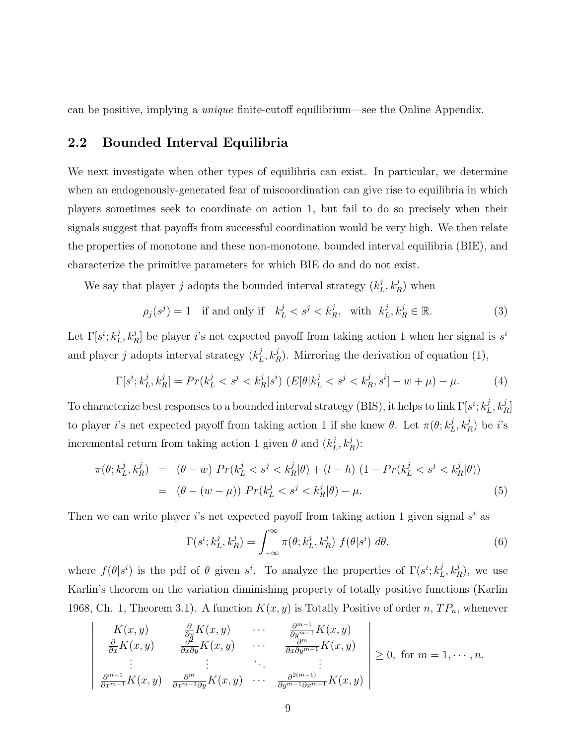can be positive, implying a unique finite-cutoff equilibrium—see the Online Appendix.

#### 2.2 Bounded Interval Equilibria

 $\overline{\phantom{a}}$  $\Big\}$  $\overline{\phantom{a}}$  $\overline{\phantom{a}}$  $\overline{\phantom{a}}$  $\overline{\phantom{a}}$  $\overline{\phantom{a}}$  $\overline{\phantom{a}}$  $\Big\}$  $\vert$ 

We next investigate when other types of equilibria can exist. In particular, we determine when an endogenously-generated fear of miscoordination can give rise to equilibria in which players sometimes seek to coordinate on action 1, but fail to do so precisely when their signals suggest that payoffs from successful coordination would be very high. We then relate the properties of monotone and these non-monotone, bounded interval equilibria (BIE), and characterize the primitive parameters for which BIE do and do not exist.

We say that player j adopts the bounded interval strategy  $(k_I^j)$  $_{L}^{j}, k_{R}^{j}$ ) when

$$
\rho_j(s^j) = 1 \quad \text{if and only if} \quad k_L^j < s^j < k_R^j, \quad \text{with} \quad k_L^j, k_R^j \in \mathbb{R}.\tag{3}
$$

Let  $\Gamma[s^i; k_I^j]$  $L^j$ ,  $k_R^j$  be player *i*'s net expected payoff from taking action 1 when her signal is  $s^i$ and player j adopts interval strategy  $(k_I^j)$  $L<sup>j</sup>$ ,  $k<sup>j</sup><sub>R</sub>$ ). Mirroring the derivation of equation (1),

$$
\Gamma[s^i; k_L^j, k_R^j] = Pr(k_L^j < s^j < k_R^j | s^i) \ (E[\theta | k_L^j < s^j < k_R^j, s^i] - w + \mu) - \mu. \tag{4}
$$

To characterize best responses to a bounded interval strategy (BIS), it helps to link  $\Gamma[s^i; k_I^j]$  $\frac{j}{L}, k_R^j]$ to player *i*'s net expected payoff from taking action 1 if she knew  $\theta$ . Let  $\pi(\theta; k_I^j)$  $_{L}^{j},k_{R}^{j}$ ) be *i*'s incremental return from taking action 1 given  $\theta$  and  $(k_I^j)$  $_{L}^{j},k_{R}^{j})$ :

$$
\pi(\theta; k_L^j, k_R^j) = (\theta - w) Pr(k_L^j < s^j < k_R^j | \theta) + (l - h) (1 - Pr(k_L^j < s^j < k_R^j | \theta))
$$
\n
$$
= (\theta - (w - \mu)) Pr(k_L^j < s^j < k_R^j | \theta) - \mu. \tag{5}
$$

Then we can write player is net expected payoff from taking action 1 given signal  $s^i$  as

$$
\Gamma(s^i; k_L^j, k_R^j) = \int_{-\infty}^{\infty} \pi(\theta; k_L^j, k_R^j) f(\theta | s^i) d\theta,
$$
\n(6)

where  $f(\theta|s^i)$  is the pdf of  $\theta$  given  $s^i$ . To analyze the properties of  $\Gamma(s^i; k_I^j)$  $_L^j, k_R^j$ , we use Karlin's theorem on the variation diminishing property of totally positive functions (Karlin 1968, Ch. 1, Theorem 3.1). A function  $K(x, y)$  is Totally Positive of order n,  $TP_n$ , whenever

$$
\frac{K(x,y)}{\frac{\partial}{\partial x}K(x,y)} \quad \frac{\frac{\partial}{\partial y}K(x,y)}{\frac{\partial^2}{\partial x \partial y}K(x,y)} \quad \cdots \quad \frac{\frac{\partial^{m-1}}{\partial y^{m-1}}K(x,y)}{\frac{\partial^m}{\partial x \partial y^{m-1}}K(x,y)} \quad \frac{\frac{\partial}{\partial x}}{\frac{\partial^m}{\partial x^{m-1}}K(x,y)} \quad \frac{\frac{\partial^m}{\partial x^m}K(x,y)}{\frac{\partial^m}{\partial y^{m-1}}K(x,y)} \quad \geq 0, \text{ for } m = 1, \cdots, n.
$$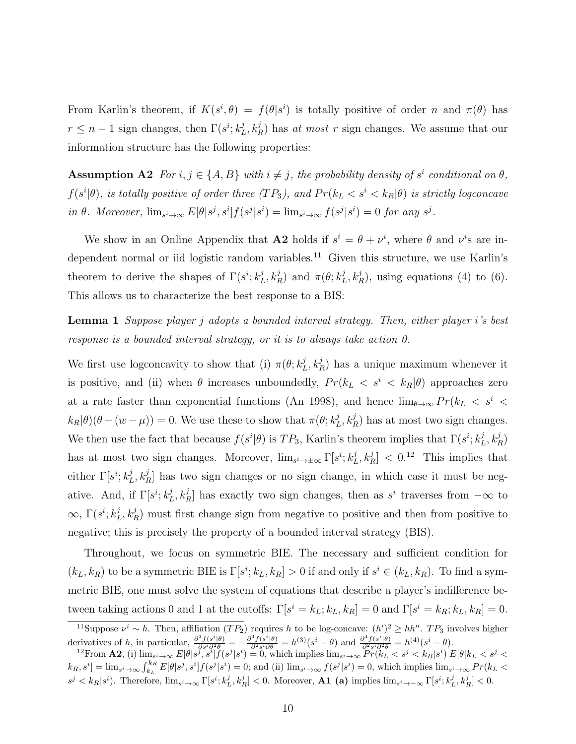From Karlin's theorem, if  $K(s^i, \theta) = f(\theta | s^i)$  is totally positive of order n and  $\pi(\theta)$  has  $r \leq n-1$  sign changes, then  $\Gamma(s^i; k^j)$  $L_L^j$ ,  $k_R^j$ ) has at most r sign changes. We assume that our information structure has the following properties:

**Assumption A2** For  $i, j \in \{A, B\}$  with  $i \neq j$ , the probability density of  $s^i$  conditional on  $\theta$ ,  $f(s^i|\theta)$ , is totally positive of order three  $(T P_3)$ , and  $Pr(k_L < s^i < k_R|\theta)$  is strictly logconcave in  $\theta$ . Moreover,  $\lim_{s^i \to \infty} E[\theta|s^j, s^i] f(s^j | s^i) = \lim_{s^i \to \infty} f(s^j | s^i) = 0$  for any  $s^j$ .

We show in an Online Appendix that **A2** holds if  $s^i = \theta + \nu^i$ , where  $\theta$  and  $\nu^i$ s are independent normal or iid logistic random variables.<sup>11</sup> Given this structure, we use Karlin's theorem to derive the shapes of  $\Gamma(s^i; k_I^j)$  $L^j(k_R^j)$  and  $\pi(\theta; k_I^j)$  $L<sup>j</sup>$ ,  $k<sup>j</sup><sub>R</sub>$ ), using equations (4) to (6). This allows us to characterize the best response to a BIS:

Lemma 1 Suppose player j adopts a bounded interval strategy. Then, either player i's best response is a bounded interval strategy, or it is to always take action 0.

We first use logconcavity to show that (i)  $\pi(\theta; k_I^j)$  $L^j$ ,  $k_R^j$ ) has a unique maximum whenever it is positive, and (ii) when  $\theta$  increases unboundedly,  $Pr(k_L \lt s^i \lt k_R | \theta)$  approaches zero at a rate faster than exponential functions (An 1998), and hence  $\lim_{\theta\to\infty} Pr(k_L < s^i$  $k_R|\theta(\theta-(w-\mu))=0.$  We use these to show that  $\pi(\theta;k_1^j)$  $L_L^j$ ,  $k_R^j$ ) has at most two sign changes. We then use the fact that because  $f(s^i|\theta)$  is  $TP_3$ , Karlin's theorem implies that  $\Gamma(s^i; k_I^j)$  $_{L}^{j},k_{R}^{j})$ has at most two sign changes. Moreover,  $\lim_{s^i \to \pm \infty} \Gamma[s^i; k_I^j]$  $[L, k_R^j] < 0.12$  This implies that either  $\Gamma[s^i; k_I^j]$  $L_L^j$ ,  $k_R^j$  has two sign changes or no sign change, in which case it must be negative. And, if  $\Gamma[s^i; k_I^j]$  $L_L^j$ ,  $k_R^j$  has exactly two sign changes, then as  $s^i$  traverses from  $-\infty$  to  $\infty$ ,  $\Gamma(s^i; k_I^j)$  $L_L^j$ ,  $k_R^j$ ) must first change sign from negative to positive and then from positive to negative; this is precisely the property of a bounded interval strategy (BIS).

Throughout, we focus on symmetric BIE. The necessary and sufficient condition for  $(k_L, k_R)$  to be a symmetric BIE is  $\Gamma[s^i; k_L, k_R] > 0$  if and only if  $s^i \in (k_L, k_R)$ . To find a symmetric BIE, one must solve the system of equations that describe a player's indifference between taking actions 0 and 1 at the cutoffs:  $\Gamma[s^i = k_L; k_L, k_R] = 0$  and  $\Gamma[s^i = k_R; k_L, k_R] = 0$ .

<sup>&</sup>lt;sup>11</sup>Suppose  $\nu^i \sim h$ . Then, affiliation  $(TP_2)$  requires h to be log-concave:  $(h')^2 \geq hh''$ .  $TP_3$  involves higher derivatives of h, in particular,  $\frac{\partial^3 f(s^i|\theta)}{\partial s^i \partial^2 \theta} = -\frac{\partial^3 f(s^i|\theta)}{\partial^2 s^i \partial \theta} = h^{(3)}(s^i - \theta)$  and  $\frac{\partial^4 f(s^i|\theta)}{\partial s^i \partial^2 \theta} = h^{(4)}(s^i - \theta)$ .

<sup>&</sup>lt;sup>12</sup>From **A2**, (i)  $\lim_{s^i\to\infty} E[\theta|s^j,s^i]f(s^j|s^i) = 0$ , which implies  $\lim_{s^i\to\infty} \Pr(k_L < s^j < k_R|s^i) E[\theta|k_L < s^j <$  $[k_R, s^i] = \lim_{s^i \to \infty} \int_{k_L}^{k_R} E[\theta | s^j, s^i] f(s^j | s^i) = 0$ ; and (ii)  $\lim_{s^i \to \infty} f(s^j | s^i) = 0$ , which implies  $\lim_{s^i \to \infty} Pr(k_L <$  $s^j < k_R | s^i$ ). Therefore,  $\lim_{s^i \to \infty} \Gamma[s^i; k^j_L, k^j_R] < 0$ . Moreover, **A1** (a) implies  $\lim_{s^i \to -\infty} \Gamma[s^i; k^j_L, k^j_R] < 0$ .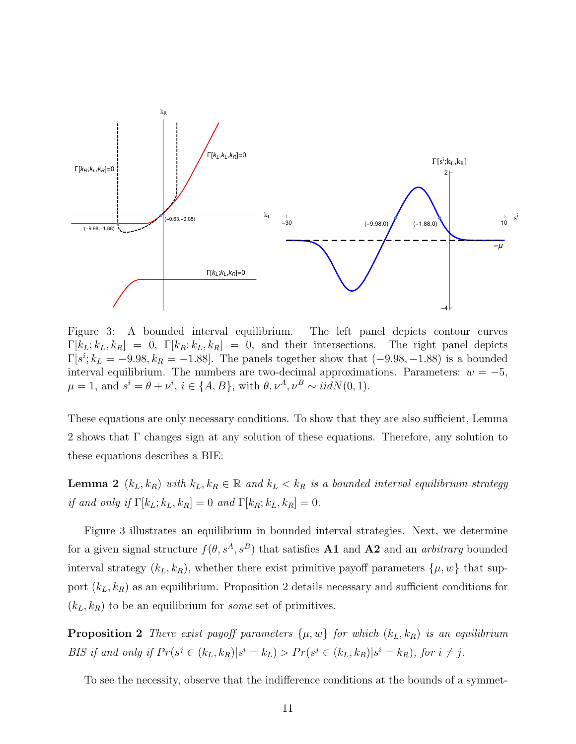

Figure 3: A bounded interval equilibrium. The left panel depicts contour curves  $\Gamma[k_L; k_L, k_R] = 0$ ,  $\Gamma[k_R; k_L, k_R] = 0$ , and their intersections. The right panel depicts  $\Gamma[s^i; k_L = -9.98, k_R = -1.88]$ . The panels together show that  $(-9.98, -1.88)$  is a bounded interval equilibrium. The numbers are two-decimal approximations. Parameters:  $w = -5$ ,  $\mu = 1$ , and  $s^i = \theta + \nu^i$ ,  $i \in \{A, B\}$ , with  $\theta, \nu^A, \nu^B \sim \text{iidN}(0, 1)$ .

These equations are only necessary conditions. To show that they are also sufficient, Lemma 2 shows that Γ changes sign at any solution of these equations. Therefore, any solution to these equations describes a BIE:

**Lemma 2**  $(k_L, k_R)$  with  $k_L, k_R \in \mathbb{R}$  and  $k_L < k_R$  is a bounded interval equilibrium strategy if and only if  $\Gamma[k_L; k_L, k_R] = 0$  and  $\Gamma[k_R; k_L, k_R] = 0$ .

Figure 3 illustrates an equilibrium in bounded interval strategies. Next, we determine for a given signal structure  $f(\theta, s^A, s^B)$  that satisfies **A1** and **A2** and an *arbitrary* bounded interval strategy  $(k_L, k_R)$ , whether there exist primitive payoff parameters  $\{\mu, w\}$  that support  $(k_L, k_R)$  as an equilibrium. Proposition 2 details necessary and sufficient conditions for  $(k_L, k_R)$  to be an equilibrium for *some* set of primitives.

**Proposition 2** There exist payoff parameters  $\{\mu, w\}$  for which  $(k_L, k_R)$  is an equilibrium BIS if and only if  $Pr(s^j \in (k_L, k_R)|s^i = k_L) > Pr(s^j \in (k_L, k_R)|s^i = k_R)$ , for  $i \neq j$ .

To see the necessity, observe that the indifference conditions at the bounds of a symmet-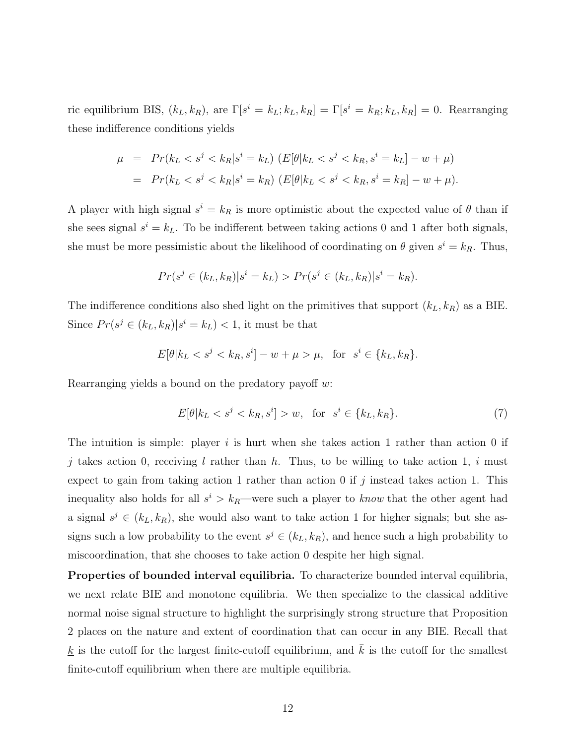ric equilibrium BIS,  $(k_L, k_R)$ , are  $\Gamma[s^i = k_L; k_L, k_R] = \Gamma[s^i = k_R; k_L, k_R] = 0$ . Rearranging these indifference conditions yields

$$
\mu = Pr(k_L < s^j < k_R | s^i = k_L) \ (E[\theta | k_L < s^j < k_R, s^i = k_L] - w + \mu)
$$
\n
$$
= Pr(k_L < s^j < k_R | s^i = k_R) \ (E[\theta | k_L < s^j < k_R, s^i = k_R] - w + \mu).
$$

A player with high signal  $s^i = k_R$  is more optimistic about the expected value of  $\theta$  than if she sees signal  $s^i = k_L$ . To be indifferent between taking actions 0 and 1 after both signals, she must be more pessimistic about the likelihood of coordinating on  $\theta$  given  $s^i = k_R$ . Thus,

$$
Pr(s^j \in (k_L, k_R)|s^i = k_L) > Pr(s^j \in (k_L, k_R)|s^i = k_R).
$$

The indifference conditions also shed light on the primitives that support  $(k_L, k_R)$  as a BIE. Since  $Pr(s^j \in (k_L, k_R)|s^i = k_L) < 1$ , it must be that

$$
E[\theta|k_L < s^j < k_R, s^i] - w + \mu > \mu, \quad \text{for} \quad s^i \in \{k_L, k_R\}.
$$

Rearranging yields a bound on the predatory payoff  $w$ :

$$
E[\theta|k_L < s^j < k_R, s^i] > w, \quad \text{for} \quad s^i \in \{k_L, k_R\}.\tag{7}
$$

The intuition is simple: player i is hurt when she takes action 1 rather than action 0 if j takes action 0, receiving l rather than h. Thus, to be willing to take action 1, i must expect to gain from taking action 1 rather than action 0 if j instead takes action 1. This inequality also holds for all  $s^i > k_R$ —were such a player to *know* that the other agent had a signal  $s^j \in (k_L, k_R)$ , she would also want to take action 1 for higher signals; but she assigns such a low probability to the event  $s^j \in (k_L, k_R)$ , and hence such a high probability to miscoordination, that she chooses to take action 0 despite her high signal.

Properties of bounded interval equilibria. To characterize bounded interval equilibria, we next relate BIE and monotone equilibria. We then specialize to the classical additive normal noise signal structure to highlight the surprisingly strong structure that Proposition 2 places on the nature and extent of coordination that can occur in any BIE. Recall that  $\underline{k}$  is the cutoff for the largest finite-cutoff equilibrium, and  $\overline{k}$  is the cutoff for the smallest finite-cutoff equilibrium when there are multiple equilibria.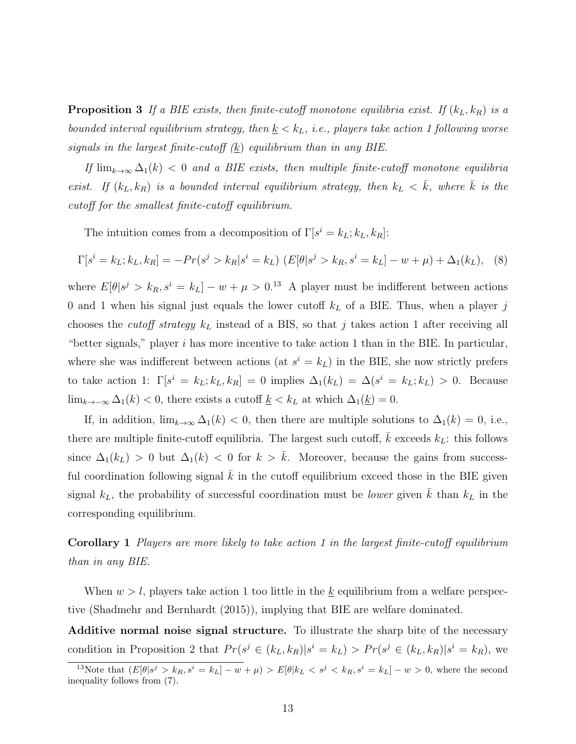**Proposition 3** If a BIE exists, then finite-cutoff monotone equilibria exist. If  $(k_L, k_R)$  is a bounded interval equilibrium strategy, then  $\underline{k} < k_L$ , i.e., players take action 1 following worse signals in the largest finite-cutoff  $(k)$  equilibrium than in any BIE.

If  $\lim_{k\to\infty}\Delta_1(k)$  < 0 and a BIE exists, then multiple finite-cutoff monotone equilibria exist. If  $(k_L, k_R)$  is a bounded interval equilibrium strategy, then  $k_L < \bar{k}$ , where  $\bar{k}$  is the cutoff for the smallest finite-cutoff equilibrium.

The intuition comes from a decomposition of  $\Gamma[s^i = k_L; k_L, k_R]$ :

$$
\Gamma[s^i = k_L; k_L, k_R] = -Pr(s^j > k_R | s^i = k_L) \left( E[\theta | s^j > k_R, s^i = k_L] - w + \mu \right) + \Delta_1(k_L), \quad (8)
$$

where  $E[\theta|s^j > k_R, s^i = k_L] - w + \mu > 0$ .<sup>13</sup> A player must be indifferent between actions 0 and 1 when his signal just equals the lower cutoff  $k<sub>L</sub>$  of a BIE. Thus, when a player j chooses the *cutoff strategy*  $k<sub>L</sub>$  instead of a BIS, so that j takes action 1 after receiving all "better signals," player i has more incentive to take action 1 than in the BIE. In particular, where she was indifferent between actions (at  $s^i = k_L$ ) in the BIE, she now strictly prefers to take action 1:  $\Gamma[s^i = k_L; k_L, k_R] = 0$  implies  $\Delta_1(k_L) = \Delta(s^i = k_L; k_L) > 0$ . Because lim<sub>k→−∞</sub>  $\Delta_1(k)$  < 0, there exists a cutoff  $\underline{k}$  <  $k_L$  at which  $\Delta_1(\underline{k}) = 0$ .

If, in addition,  $\lim_{k\to\infty} \Delta_1(k) < 0$ , then there are multiple solutions to  $\Delta_1(k) = 0$ , i.e., there are multiple finite-cutoff equilibria. The largest such cutoff,  $\bar{k}$  exceeds  $k_L$ : this follows since  $\Delta_1(k_L) > 0$  but  $\Delta_1(k) < 0$  for  $k > \overline{k}$ . Moreover, because the gains from successful coordination following signal  $k$  in the cutoff equilibrium exceed those in the BIE given signal  $k_L$ , the probability of successful coordination must be *lower* given  $\overline{k}$  than  $k_L$  in the corresponding equilibrium.

Corollary 1 Players are more likely to take action 1 in the largest finite-cutoff equilibrium than in any BIE.

When  $w > l$ , players take action 1 too little in the <u>k</u> equilibrium from a welfare perspective (Shadmehr and Bernhardt (2015)), implying that BIE are welfare dominated.

Additive normal noise signal structure. To illustrate the sharp bite of the necessary condition in Proposition 2 that  $Pr(s^j \in (k_L, k_R)|s^i = k_L) > Pr(s^j \in (k_L, k_R)|s^i = k_R)$ , we

<sup>&</sup>lt;sup>13</sup>Note that  $(E[\theta|s^j > k_R, s^i = k_L] - w + \mu) > E[\theta|k_L < s^j < k_R, s^i = k_L] - w > 0$ , where the second inequality follows from (7).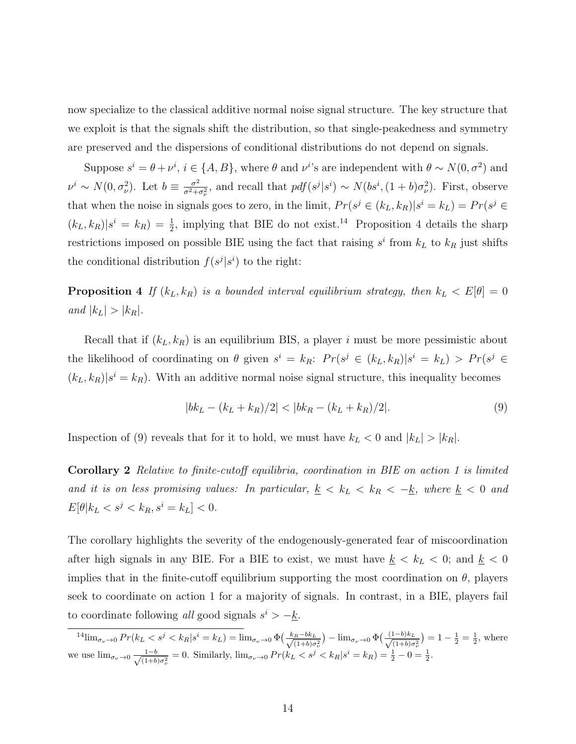now specialize to the classical additive normal noise signal structure. The key structure that we exploit is that the signals shift the distribution, so that single-peakedness and symmetry are preserved and the dispersions of conditional distributions do not depend on signals.

Suppose  $s^i = \theta + \nu^i$ ,  $i \in \{A, B\}$ , where  $\theta$  and  $\nu^{i}$ 's are independent with  $\theta \sim N(0, \sigma^2)$  and  $\nu^i \sim N(0, \sigma_\nu^2)$ . Let  $b \equiv \frac{\sigma^2}{\sigma^2 + \sigma^2}$  $\frac{\sigma^2}{\sigma^2+\sigma_\nu^2}$ , and recall that  $pdf(s^j|s^i) \sim N(bs^i, (1+b)\sigma_\nu^2)$ . First, observe that when the noise in signals goes to zero, in the limit,  $Pr(s^j \in (k_L, k_R)|s^i = k_L) = Pr(s^j \in$  $(k_L, k_R)|s^i = k_R$  =  $\frac{1}{2}$ , implying that BIE do not exist.<sup>14</sup> Proposition 4 details the sharp restrictions imposed on possible BIE using the fact that raising  $s^i$  from  $k_L$  to  $k_R$  just shifts the conditional distribution  $f(s^j | s^i)$  to the right:

**Proposition 4** If  $(k_L, k_R)$  is a bounded interval equilibrium strategy, then  $k_L < E[\theta] = 0$ and  $|k_L| > |k_R|$ .

Recall that if  $(k_L, k_R)$  is an equilibrium BIS, a player i must be more pessimistic about the likelihood of coordinating on  $\theta$  given  $s^i = k_R$ :  $Pr(s^j \in (k_L, k_R)|s^i = k_L) > Pr(s^j \in$  $(k_L, k_R)|s^i = k_R$ ). With an additive normal noise signal structure, this inequality becomes

$$
|bk_L - (k_L + k_R)/2| < |bk_R - (k_L + k_R)/2|.\tag{9}
$$

Inspection of (9) reveals that for it to hold, we must have  $k_L < 0$  and  $|k_L| > |k_R|$ .

Corollary 2 Relative to finite-cutoff equilibria, coordination in BIE on action 1 is limited and it is on less promising values: In particular,  $\underline{k} < k_L < k_R < -\underline{k}$ , where  $\underline{k} < 0$  and  $E[\theta|k_L < s^j < k_R, s^i = k_L] < 0.$ 

The corollary highlights the severity of the endogenously-generated fear of miscoordination after high signals in any BIE. For a BIE to exist, we must have  $k \leq k_L \leq 0$ ; and  $k \leq 0$ implies that in the finite-cutoff equilibrium supporting the most coordination on  $\theta$ , players seek to coordinate on action 1 for a majority of signals. In contrast, in a BIE, players fail to coordinate following all good signals  $s^i > -k$ .

 $^{14}$ lim $_{\sigma_{\nu}\to 0}$   $Pr(k_L < s^j < k_R | s^i = k_L) = \lim_{\sigma_{\nu}\to 0} \Phi\left(\frac{k_R - bk_L}{\sqrt{(1+b) \sigma_{\nu}}} \right)$  $\frac{(\mu-b)k_L}{(1+b)\sigma_\nu^2}$  -  $\lim_{\sigma_\nu\to 0} \Phi\left(\frac{(1-b)k_L}{\sqrt{(1+b)\sigma_\nu^2}}\right)$  $\frac{(1-b)k_L}{(1+b)\sigma_\nu^2}$  = 1 -  $\frac{1}{2}$  =  $\frac{1}{2}$ , where we use  $\lim_{\sigma_{\nu}\to 0} \frac{1-b}{\sqrt{(1+b)}}$  $\frac{1-b}{(1+b)\sigma_v^2} = 0$ . Similarly,  $\lim_{\sigma_v \to 0} Pr(k_L < s^j < k_R | s^i = k_R) = \frac{1}{2} - 0 = \frac{1}{2}$ .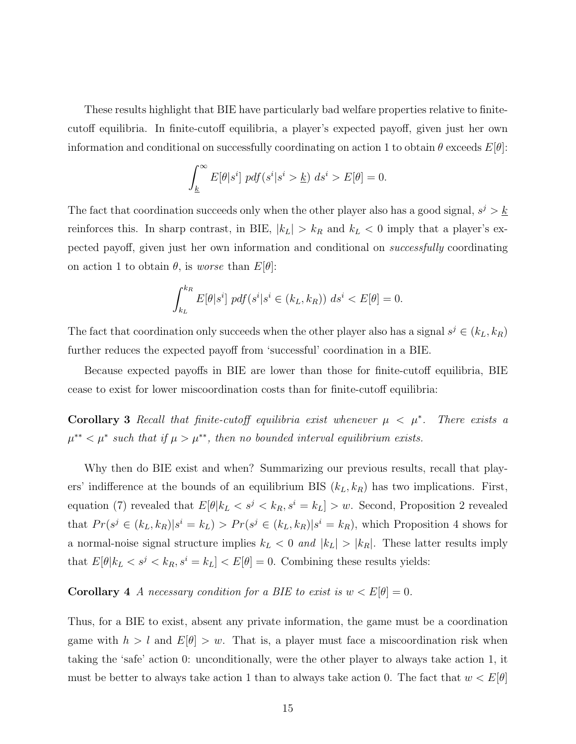These results highlight that BIE have particularly bad welfare properties relative to finitecutoff equilibria. In finite-cutoff equilibria, a player's expected payoff, given just her own information and conditional on successfully coordinating on action 1 to obtain  $\theta$  exceeds  $E[\theta]$ :

$$
\int_{\underline{k}}^{\infty} E[\theta|s^i] \ pdf(s^i|s^i > \underline{k}) \ ds^i > E[\theta] = 0.
$$

The fact that coordination succeeds only when the other player also has a good signal,  $s^j > k$ reinforces this. In sharp contrast, in BIE,  $|k_L| > k_R$  and  $k_L < 0$  imply that a player's expected payoff, given just her own information and conditional on successfully coordinating on action 1 to obtain  $\theta$ , is worse than  $E[\theta]$ :

$$
\int_{k_L}^{k_R} E[\theta|s^i] \ pdf(s^i|s^i \in (k_L, k_R)) \ ds^i < E[\theta] = 0.
$$

The fact that coordination only succeeds when the other player also has a signal  $s^j \in (k_L, k_R)$ further reduces the expected payoff from 'successful' coordination in a BIE.

Because expected payoffs in BIE are lower than those for finite-cutoff equilibria, BIE cease to exist for lower miscoordination costs than for finite-cutoff equilibria:

Corollary 3 Recall that finite-cutoff equilibria exist whenever  $\mu < \mu^*$ . . There exists a  $\mu^{**} < \mu^*$  such that if  $\mu > \mu^{**}$ , then no bounded interval equilibrium exists.

Why then do BIE exist and when? Summarizing our previous results, recall that players' indifference at the bounds of an equilibrium BIS  $(k_L, k_R)$  has two implications. First, equation (7) revealed that  $E[\theta|k_L < s^j < k_R, s^i = k_L] > w$ . Second, Proposition 2 revealed that  $Pr(s^j \in (k_L, k_R)|s^i = k_L) > Pr(s^j \in (k_L, k_R)|s^i = k_R)$ , which Proposition 4 shows for a normal-noise signal structure implies  $k_L < 0$  and  $|k_L| > |k_R|$ . These latter results imply that  $E[\theta|k_L < s^j < k_R, s^i = k_L] < E[\theta] = 0$ . Combining these results yields:

### **Corollary 4** A necessary condition for a BIE to exist is  $w < E[\theta] = 0$ .

Thus, for a BIE to exist, absent any private information, the game must be a coordination game with  $h > l$  and  $E[\theta] > w$ . That is, a player must face a miscoordination risk when taking the 'safe' action 0: unconditionally, were the other player to always take action 1, it must be better to always take action 1 than to always take action 0. The fact that  $w < E[\theta]$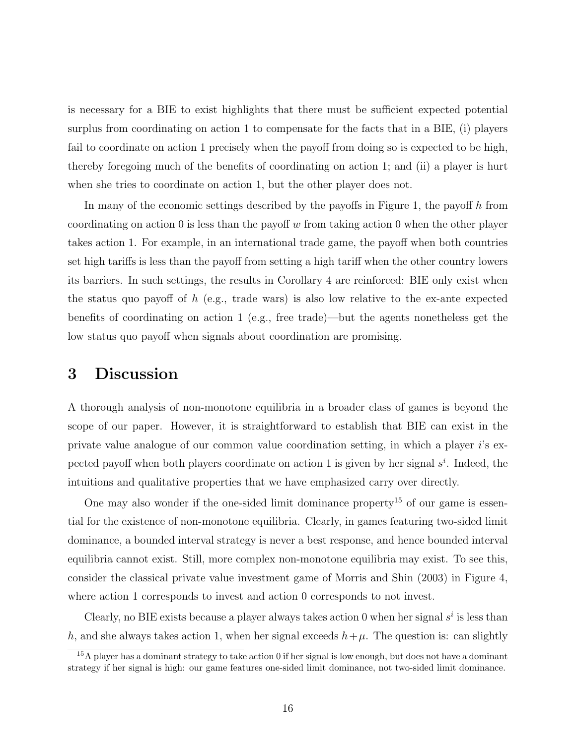is necessary for a BIE to exist highlights that there must be sufficient expected potential surplus from coordinating on action 1 to compensate for the facts that in a BIE, (i) players fail to coordinate on action 1 precisely when the payoff from doing so is expected to be high, thereby foregoing much of the benefits of coordinating on action 1; and (ii) a player is hurt when she tries to coordinate on action 1, but the other player does not.

In many of the economic settings described by the payoffs in Figure 1, the payoff  $h$  from coordinating on action 0 is less than the payoff  $w$  from taking action 0 when the other player takes action 1. For example, in an international trade game, the payoff when both countries set high tariffs is less than the payoff from setting a high tariff when the other country lowers its barriers. In such settings, the results in Corollary 4 are reinforced: BIE only exist when the status quo payoff of  $h$  (e.g., trade wars) is also low relative to the ex-ante expected benefits of coordinating on action 1 (e.g., free trade)—but the agents nonetheless get the low status quo payoff when signals about coordination are promising.

# 3 Discussion

A thorough analysis of non-monotone equilibria in a broader class of games is beyond the scope of our paper. However, it is straightforward to establish that BIE can exist in the private value analogue of our common value coordination setting, in which a player i's expected payoff when both players coordinate on action 1 is given by her signal  $s^i$ . Indeed, the intuitions and qualitative properties that we have emphasized carry over directly.

One may also wonder if the one-sided limit dominance property<sup>15</sup> of our game is essential for the existence of non-monotone equilibria. Clearly, in games featuring two-sided limit dominance, a bounded interval strategy is never a best response, and hence bounded interval equilibria cannot exist. Still, more complex non-monotone equilibria may exist. To see this, consider the classical private value investment game of Morris and Shin (2003) in Figure 4, where action 1 corresponds to invest and action 0 corresponds to not invest.

Clearly, no BIE exists because a player always takes action 0 when her signal  $s^i$  is less than h, and she always takes action 1, when her signal exceeds  $h+\mu$ . The question is: can slightly

<sup>15</sup>A player has a dominant strategy to take action 0 if her signal is low enough, but does not have a dominant strategy if her signal is high: our game features one-sided limit dominance, not two-sided limit dominance.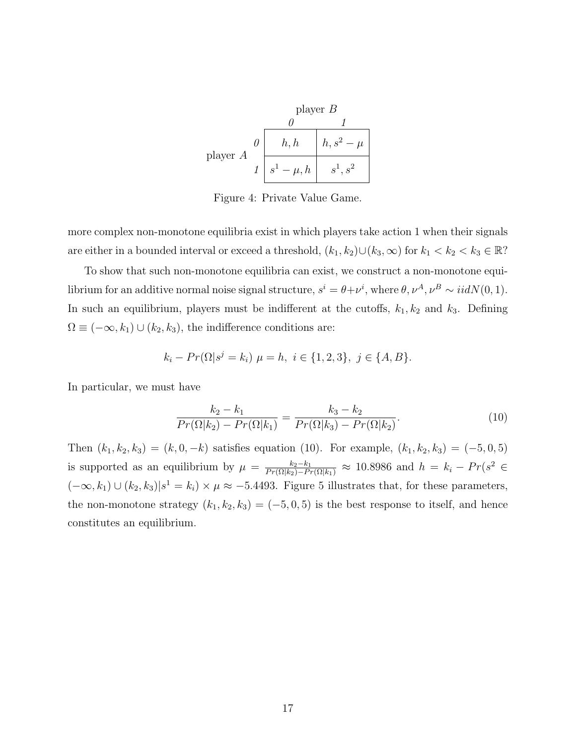|            | player $B$                              |                      |
|------------|-----------------------------------------|----------------------|
|            |                                         |                      |
| player $A$ | h,h                                     | $h, s^2$<br>$-\mu$ . |
|            | $-\mu, h$<br>$s^{\scriptscriptstyle 1}$ | $s^1, s^2$           |

Figure 4: Private Value Game.

more complex non-monotone equilibria exist in which players take action 1 when their signals are either in a bounded interval or exceed a threshold,  $(k_1, k_2) \cup (k_3, \infty)$  for  $k_1 < k_2 < k_3 \in \mathbb{R}$ ?

To show that such non-monotone equilibria can exist, we construct a non-monotone equilibrium for an additive normal noise signal structure,  $s^i = \theta + \nu^i$ , where  $\theta, \nu^A, \nu^B \sim \text{iidN}(0, 1)$ . In such an equilibrium, players must be indifferent at the cutoffs,  $k_1, k_2$  and  $k_3$ . Defining  $\Omega \equiv (-\infty, k_1) \cup (k_2, k_3)$ , the indifference conditions are:

$$
k_i - Pr(\Omega | s^j = k_i) \mu = h, \ i \in \{1, 2, 3\}, \ j \in \{A, B\}.
$$

In particular, we must have

$$
\frac{k_2 - k_1}{Pr(\Omega|k_2) - Pr(\Omega|k_1)} = \frac{k_3 - k_2}{Pr(\Omega|k_3) - Pr(\Omega|k_2)}.
$$
\n(10)

Then  $(k_1, k_2, k_3) = (k, 0, -k)$  satisfies equation (10). For example,  $(k_1, k_2, k_3) = (-5, 0, 5)$ is supported as an equilibrium by  $\mu = \frac{k_2 - k_1}{Pr(\Omega|k_2) - Pr(\Omega|k_1)} \approx 10.8986$  and  $h = k_i - Pr(s^2 \in$  $(-\infty, k_1) \cup (k_2, k_3) | s^1 = k_i \rangle \times \mu \approx -5.4493$ . Figure 5 illustrates that, for these parameters, the non-monotone strategy  $(k_1, k_2, k_3) = (-5, 0, 5)$  is the best response to itself, and hence constitutes an equilibrium.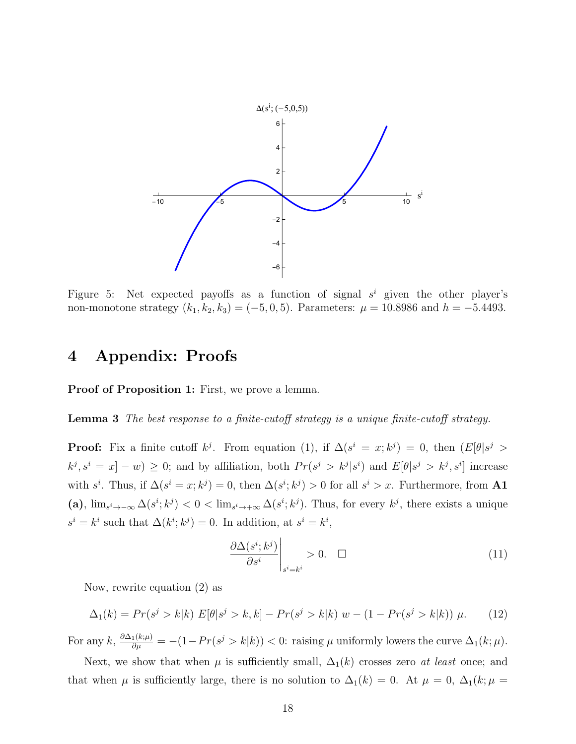

Figure 5: Net expected payoffs as a function of signal  $s^i$  given the other player's non-monotone strategy  $(k_1, k_2, k_3) = (-5, 0, 5)$ . Parameters:  $\mu = 10.8986$  and  $h = -5.4493$ .

# 4 Appendix: Proofs

Proof of Proposition 1: First, we prove a lemma.

Lemma 3 The best response to a finite-cutoff strategy is a unique finite-cutoff strategy.

**Proof:** Fix a finite cutoff  $k^{j}$ . From equation (1), if  $\Delta(s^{i} = x; k^{j}) = 0$ , then  $(E[\theta]s^{j} >$  $k^j, s^i = x - w \geq 0$ ; and by affiliation, both  $Pr(s^j > k^j | s^i)$  and  $E[\theta | s^j > k^j, s^i]$  increase with  $s^i$ . Thus, if  $\Delta(s^i = x; k^j) = 0$ , then  $\Delta(s^i; k^j) > 0$  for all  $s^i > x$ . Furthermore, from **A1** (a),  $\lim_{s^i \to -\infty} \Delta(s^i; k^j) < 0 < \lim_{s^i \to +\infty} \Delta(s^i; k^j)$ . Thus, for every  $k^j$ , there exists a unique  $s^i = k^i$  such that  $\Delta(k^i; k^j) = 0$ . In addition, at  $s^i = k^i$ ,

$$
\left. \frac{\partial \Delta(s^i; k^j)}{\partial s^i} \right|_{s^i = k^i} > 0. \quad \Box \tag{11}
$$

Now, rewrite equation (2) as

$$
\Delta_1(k) = Pr(s^j > k|k) E[\theta|s^j > k, k] - Pr(s^j > k|k) w - (1 - Pr(s^j > k|k)) \mu.
$$
 (12)

For any  $k, \frac{\partial \Delta_1(k;\mu)}{\partial \mu} = -(1 - Pr(s^j > k|k)) < 0$ : raising  $\mu$  uniformly lowers the curve  $\Delta_1(k;\mu)$ .

Next, we show that when  $\mu$  is sufficiently small,  $\Delta_1(k)$  crosses zero *at least* once; and that when  $\mu$  is sufficiently large, there is no solution to  $\Delta_1(k) = 0$ . At  $\mu = 0$ ,  $\Delta_1(k; \mu =$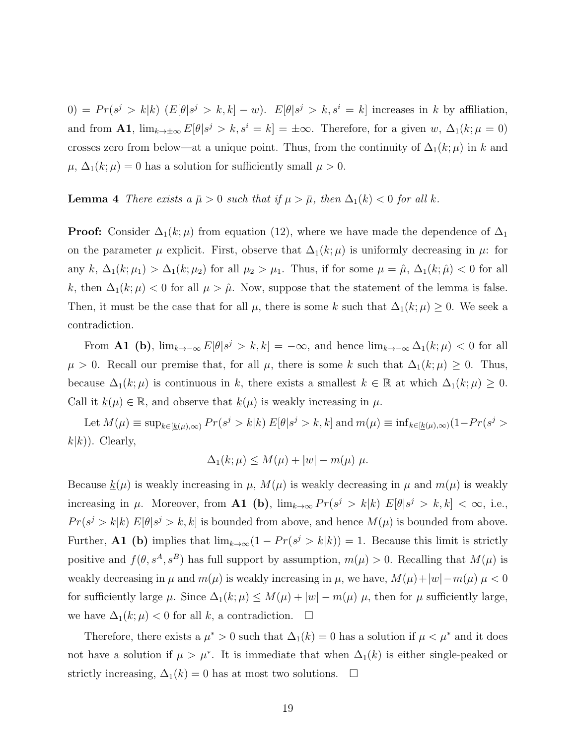$(0) = Pr(s^j > k|k)$   $(E[\theta|s^j > k, k] - w)$ .  $E[\theta|s^j > k, s^i = k]$  increases in k by affiliation, and from **A1**,  $\lim_{k\to\pm\infty} E[\theta]s^j > k$ ,  $s^i = k] = \pm\infty$ . Therefore, for a given w,  $\Delta_1(k;\mu=0)$ crosses zero from below—at a unique point. Thus, from the continuity of  $\Delta_1(k;\mu)$  in k and  $\mu$ ,  $\Delta_1(k;\mu) = 0$  has a solution for sufficiently small  $\mu > 0$ .

### **Lemma 4** There exists a  $\bar{\mu} > 0$  such that if  $\mu > \bar{\mu}$ , then  $\Delta_1(k) < 0$  for all k.

**Proof:** Consider  $\Delta_1(k;\mu)$  from equation (12), where we have made the dependence of  $\Delta_1$ on the parameter  $\mu$  explicit. First, observe that  $\Delta_1(k;\mu)$  is uniformly decreasing in  $\mu$ : for any k,  $\Delta_1(k;\mu_1) > \Delta_1(k;\mu_2)$  for all  $\mu_2 > \mu_1$ . Thus, if for some  $\mu = \hat{\mu}, \Delta_1(k;\hat{\mu}) < 0$  for all k, then  $\Delta_1(k;\mu) < 0$  for all  $\mu > \hat{\mu}$ . Now, suppose that the statement of the lemma is false. Then, it must be the case that for all  $\mu$ , there is some k such that  $\Delta_1(k;\mu) \geq 0$ . We seek a contradiction.

From **A1** (b),  $\lim_{k\to\infty} E[\theta]s^j > k, k] = -\infty$ , and hence  $\lim_{k\to\infty} \Delta_1(k;\mu) < 0$  for all  $\mu > 0$ . Recall our premise that, for all  $\mu$ , there is some k such that  $\Delta_1(k;\mu) \geq 0$ . Thus, because  $\Delta_1(k;\mu)$  is continuous in k, there exists a smallest  $k \in \mathbb{R}$  at which  $\Delta_1(k;\mu) \geq 0$ . Call it  $\underline{k}(\mu) \in \mathbb{R}$ , and observe that  $\underline{k}(\mu)$  is weakly increasing in  $\mu$ .

Let  $M(\mu) \equiv \sup_{k \in [k(\mu), \infty)} Pr(s^j > k | k) E[\theta | s^j > k, k]$  and  $m(\mu) \equiv \inf_{k \in [k(\mu), \infty)} (1 - Pr(s^j > k))$  $k(k)$ ). Clearly,

$$
\Delta_1(k;\mu) \le M(\mu) + |w| - m(\mu) \mu.
$$

Because  $\underline{k}(\mu)$  is weakly increasing in  $\mu$ ,  $M(\mu)$  is weakly decreasing in  $\mu$  and  $m(\mu)$  is weakly increasing in  $\mu$ . Moreover, from **A1** (b),  $\lim_{k\to\infty} Pr(s^j > k|k)$   $E[\theta|s^j > k, k] < \infty$ , i.e.,  $Pr(s^j > k|k) E[\theta|s^j > k, k]$  is bounded from above, and hence  $M(\mu)$  is bounded from above. Further, **A1** (b) implies that  $\lim_{k\to\infty}(1 - Pr(s^j > k|k)) = 1$ . Because this limit is strictly positive and  $f(\theta, s^A, s^B)$  has full support by assumption,  $m(\mu) > 0$ . Recalling that  $M(\mu)$  is weakly decreasing in  $\mu$  and  $m(\mu)$  is weakly increasing in  $\mu$ , we have,  $M(\mu)+|w|-m(\mu) \mu < 0$ for sufficiently large  $\mu$ . Since  $\Delta_1(k;\mu) \leq M(\mu) + |w| - m(\mu) \mu$ , then for  $\mu$  sufficiently large, we have  $\Delta_1(k;\mu) < 0$  for all k, a contradiction.  $\Box$ 

Therefore, there exists a  $\mu^* > 0$  such that  $\Delta_1(k) = 0$  has a solution if  $\mu < \mu^*$  and it does not have a solution if  $\mu > \mu^*$ . It is immediate that when  $\Delta_1(k)$  is either single-peaked or strictly increasing,  $\Delta_1(k) = 0$  has at most two solutions.  $\square$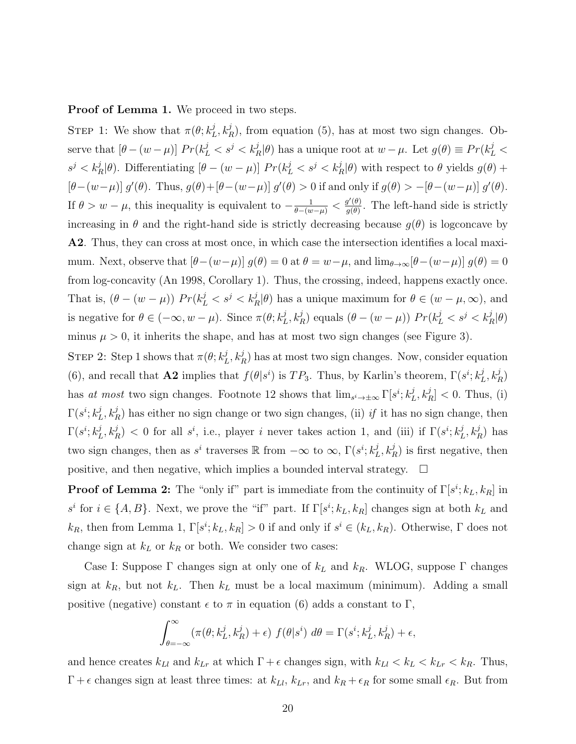Proof of Lemma 1. We proceed in two steps.

STEP 1: We show that  $\pi(\theta; k_I^j)$  $L<sub>L</sub>$ ,  $k<sub>R</sub><sup>j</sup>$ ), from equation (5), has at most two sign changes. Observe that  $[\theta - (w - \mu)] Pr(k_L^j < s^j < k_R^j | \theta)$  has a unique root at  $w - \mu$ . Let  $g(\theta) \equiv Pr(k_L^j <$  $s^j < k_R^j|\theta$ ). Differentiating  $[\theta - (w - \mu)]$   $Pr(k_L^j < s^j < k_R^j|\theta)$  with respect to  $\theta$  yields  $g(\theta)$  +  $[\theta-(w-\mu)] g'(\theta)$ . Thus,  $g(\theta)+[\theta-(w-\mu)] g'(\theta) > 0$  if and only if  $g(\theta) > -[\theta-(w-\mu)] g'(\theta)$ . If  $\theta > w - \mu$ , this inequality is equivalent to  $-\frac{1}{\theta - (w - \mu)} < \frac{g'(\theta)}{g(\theta)}$  $\frac{g(\theta)}{g(\theta)}$ . The left-hand side is strictly increasing in  $\theta$  and the right-hand side is strictly decreasing because  $g(\theta)$  is logconcave by A2. Thus, they can cross at most once, in which case the intersection identifies a local maximum. Next, observe that  $[\theta-(w-\mu)] g(\theta) = 0$  at  $\theta = w-\mu$ , and  $\lim_{\theta\to\infty} [\theta-(w-\mu)] g(\theta) = 0$ from log-concavity (An 1998, Corollary 1). Thus, the crossing, indeed, happens exactly once. That is,  $(\theta - (w - \mu))$   $Pr(k_L^j < s^j < k_R^j | \theta)$  has a unique maximum for  $\theta \in (w - \mu, \infty)$ , and is negative for  $\theta \in (-\infty, w - \mu)$ . Since  $\pi(\theta; k_I^j)$  $L^j(k_R^j)$  equals  $(\theta - (w - \mu))$   $Pr(k_L^j < s^j < k_R^j | \theta)$ minus  $\mu > 0$ , it inherits the shape, and has at most two sign changes (see Figure 3).

STEP 2: Step 1 shows that  $\pi(\theta; k_I^j)$  $L_L^j$ ,  $k_R^j$ ) has at most two sign changes. Now, consider equation (6), and recall that **A2** implies that  $f(\theta|s^i)$  is  $TP_3$ . Thus, by Karlin's theorem,  $\Gamma(s^i; k_I^j)$  $\frac{j}{L}, k_R^j$ has at most two sign changes. Footnote 12 shows that  $\lim_{s^i \to \pm \infty} \Gamma[s^i; k_I^j]$  $\left[ \begin{array}{c} j \\ L, k_R^j \end{array} \right] < 0$ . Thus, (i)  $\Gamma(s^i;k^j_I$  $L_L^j$ ,  $k_R^j$ ) has either no sign change or two sign changes, (ii) if it has no sign change, then  $\Gamma(s^i;k^j_I$  $(L, k_R^j)$  < 0 for all s<sup>i</sup>, i.e., player i never takes action 1, and (iii) if  $\Gamma(s^i; k_I^j)$  $_{L}^{j},k_{R}^{j}$ ) has two sign changes, then as  $s^i$  traverses R from  $-\infty$  to  $\infty$ ,  $\Gamma(s^i; k_I^j)$  $(L, k_R^j)$  is first negative, then positive, and then negative, which implies a bounded interval strategy.  $\Box$ 

**Proof of Lemma 2:** The "only if" part is immediate from the continuity of  $\Gamma[s^i; k_L, k_R]$  in s<sup>i</sup> for  $i \in \{A, B\}$ . Next, we prove the "if" part. If  $\Gamma[s^i; k_L, k_R]$  changes sign at both  $k_L$  and  $k_R$ , then from Lemma 1,  $\Gamma[s^i; k_L, k_R] > 0$  if and only if  $s^i \in (k_L, k_R)$ . Otherwise,  $\Gamma$  does not change sign at  $k_L$  or  $k_R$  or both. We consider two cases:

Case I: Suppose  $\Gamma$  changes sign at only one of  $k_L$  and  $k_R$ . WLOG, suppose  $\Gamma$  changes sign at  $k_R$ , but not  $k_L$ . Then  $k_L$  must be a local maximum (minimum). Adding a small positive (negative) constant  $\epsilon$  to  $\pi$  in equation (6) adds a constant to  $\Gamma$ ,

$$
\int_{\theta=-\infty}^{\infty} (\pi(\theta; k_L^j, k_R^j) + \epsilon) f(\theta | s^i) d\theta = \Gamma(s^i; k_L^j, k_R^j) + \epsilon,
$$

and hence creates  $k_{Ll}$  and  $k_{Lr}$  at which  $\Gamma + \epsilon$  changes sign, with  $k_{Ll} < k_L < k_{Lr} < k_R$ . Thus,  $\Gamma + \epsilon$  changes sign at least three times: at  $k_{Ll}$ ,  $k_{Lr}$ , and  $k_R + \epsilon_R$  for some small  $\epsilon_R$ . But from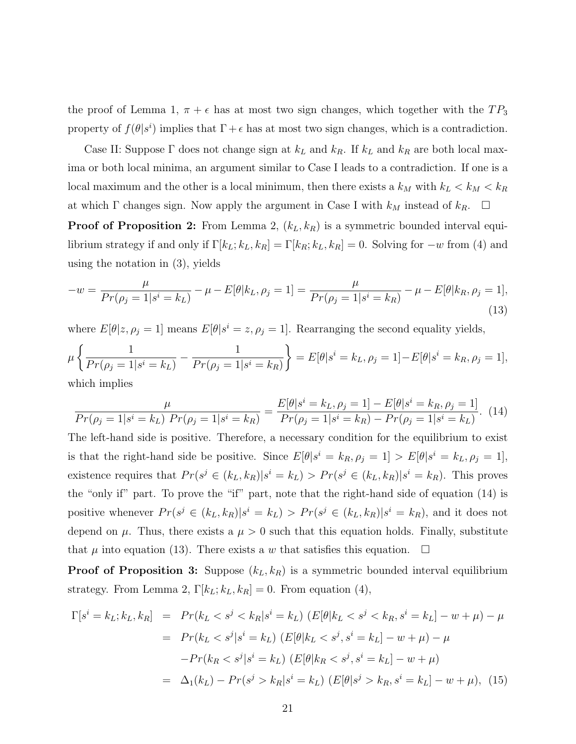the proof of Lemma 1,  $\pi + \epsilon$  has at most two sign changes, which together with the  $TP_3$ property of  $f(\theta|s^i)$  implies that  $\Gamma + \epsilon$  has at most two sign changes, which is a contradiction.

Case II: Suppose  $\Gamma$  does not change sign at  $k_L$  and  $k_R$ . If  $k_L$  and  $k_R$  are both local maxima or both local minima, an argument similar to Case I leads to a contradiction. If one is a local maximum and the other is a local minimum, then there exists a  $k_M$  with  $k_L < k_M < k_R$ at which  $\Gamma$  changes sign. Now apply the argument in Case I with  $k_M$  instead of  $k_R$ .  $\Box$ 

**Proof of Proposition 2:** From Lemma 2,  $(k_L, k_R)$  is a symmetric bounded interval equilibrium strategy if and only if  $\Gamma[k_L; k_L, k_R] = \Gamma[k_R; k_L, k_R] = 0$ . Solving for  $-w$  from (4) and using the notation in (3), yields

$$
-w = \frac{\mu}{Pr(\rho_j = 1 | s^i = k_L)} - \mu - E[\theta | k_L, \rho_j = 1] = \frac{\mu}{Pr(\rho_j = 1 | s^i = k_R)} - \mu - E[\theta | k_R, \rho_j = 1],
$$
\n(13)

where  $E[\theta|z, \rho_j = 1]$  means  $E[\theta|s^i = z, \rho_j = 1]$ . Rearranging the second equality yields,

$$
\mu \left\{ \frac{1}{Pr(\rho_j = 1 | s^i = k_L)} - \frac{1}{Pr(\rho_j = 1 | s^i = k_R)} \right\} = E[\theta | s^i = k_L, \rho_j = 1] - E[\theta | s^i = k_R, \rho_j = 1],
$$
which implies

$$
\frac{\mu}{Pr(\rho_j = 1 | s^i = k_L) Pr(\rho_j = 1 | s^i = k_R)} = \frac{E[\theta | s^i = k_L, \rho_j = 1] - E[\theta | s^i = k_R, \rho_j = 1]}{Pr(\rho_j = 1 | s^i = k_R) - Pr(\rho_j = 1 | s^i = k_L)}.
$$
(14)

The left-hand side is positive. Therefore, a necessary condition for the equilibrium to exist is that the right-hand side be positive. Since  $E[\theta|s^i = k_R, \rho_j = 1] > E[\theta|s^i = k_L, \rho_j = 1]$ , existence requires that  $Pr(s^j \in (k_L, k_R)|s^i = k_L) > Pr(s^j \in (k_L, k_R)|s^i = k_R)$ . This proves the "only if" part. To prove the "if" part, note that the right-hand side of equation (14) is positive whenever  $Pr(s^j \in (k_L, k_R)|s^i = k_L) > Pr(s^j \in (k_L, k_R)|s^i = k_R)$ , and it does not depend on  $\mu$ . Thus, there exists a  $\mu > 0$  such that this equation holds. Finally, substitute that  $\mu$  into equation (13). There exists a w that satisfies this equation.  $\Box$ 

**Proof of Proposition 3:** Suppose  $(k_L, k_R)$  is a symmetric bounded interval equilibrium strategy. From Lemma 2,  $\Gamma[k_L; k_L, k_R] = 0$ . From equation (4),

$$
\Gamma[s^i = k_L; k_L, k_R] = Pr(k_L < s^j < k_R | s^i = k_L) (E[\theta | k_L < s^j < k_R, s^i = k_L] - w + \mu) - \mu
$$
  
= 
$$
Pr(k_L < s^j | s^i = k_L) (E[\theta | k_L < s^j, s^i = k_L] - w + \mu) - \mu
$$
  

$$
-Pr(k_R < s^j | s^i = k_L) (E[\theta | k_R < s^j, s^i = k_L] - w + \mu)
$$
  
= 
$$
\Delta_1(k_L) - Pr(s^j > k_R | s^i = k_L) (E[\theta | s^j > k_R, s^i = k_L] - w + \mu),
$$
(15)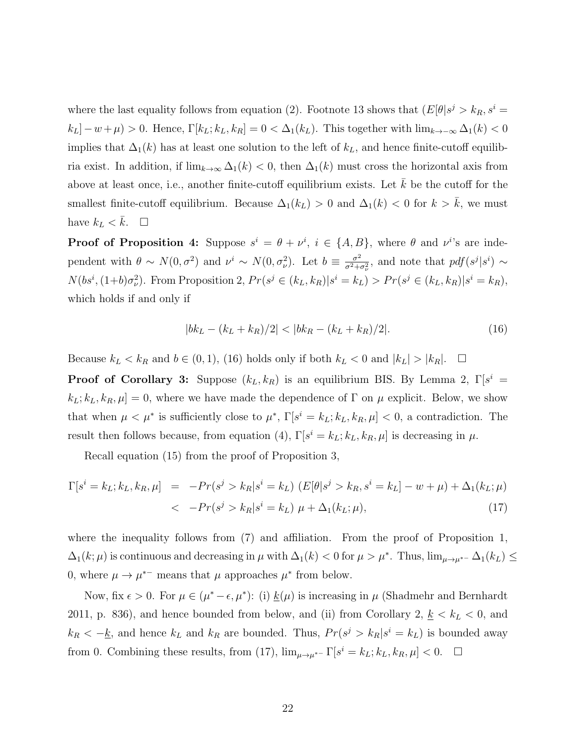where the last equality follows from equation (2). Footnote 13 shows that  $(E[\theta]s^j > k_R, s^i =$  $k_L$ ] –  $w + \mu$ ) > 0. Hence,  $\Gamma[k_L; k_L, k_R] = 0 < \Delta_1(k_L)$ . This together with  $\lim_{k \to -\infty} \Delta_1(k) < 0$ implies that  $\Delta_1(k)$  has at least one solution to the left of  $k_L$ , and hence finite-cutoff equilibria exist. In addition, if  $\lim_{k\to\infty} \Delta_1(k) < 0$ , then  $\Delta_1(k)$  must cross the horizontal axis from above at least once, i.e., another finite-cutoff equilibrium exists. Let  $k$  be the cutoff for the smallest finite-cutoff equilibrium. Because  $\Delta_1(k_L) > 0$  and  $\Delta_1(k) < 0$  for  $k > \overline{k}$ , we must have  $k_L < \bar{k}$ .  $\Box$ 

**Proof of Proposition 4:** Suppose  $s^i = \theta + \nu^i$ ,  $i \in \{A, B\}$ , where  $\theta$  and  $\nu^i$ 's are independent with  $\theta \sim N(0, \sigma^2)$  and  $\nu^i \sim N(0, \sigma^2)$ . Let  $b \equiv \frac{\sigma^2}{\sigma^2 + \sigma^2}$  $\frac{\sigma^2}{\sigma^2 + \sigma_{\nu}^2}$ , and note that  $pdf(s^j | s^i) \sim$  $N(bs^i, (1+b)\sigma_\nu^2)$ . From Proposition 2,  $Pr(s^j \in (k_L, k_R)|s^i = k_L) > Pr(s^j \in (k_L, k_R)|s^i = k_R)$ , which holds if and only if

$$
|bk_L - (k_L + k_R)/2| < |bk_R - (k_L + k_R)/2|.\tag{16}
$$

Because  $k_L < k_R$  and  $b \in (0, 1)$ , (16) holds only if both  $k_L < 0$  and  $|k_L| > |k_R|$ .  $\Box$ 

**Proof of Corollary 3:** Suppose  $(k_L, k_R)$  is an equilibrium BIS. By Lemma 2,  $\Gamma[s^i]$  $k_L$ ;  $k_L$ ,  $k_R$ ,  $\mu$ ] = 0, where we have made the dependence of  $\Gamma$  on  $\mu$  explicit. Below, we show that when  $\mu < \mu^*$  is sufficiently close to  $\mu^*, \Gamma[s^i = k_L; k_L, k_R, \mu] < 0$ , a contradiction. The result then follows because, from equation (4),  $\Gamma[s^i = k_L; k_L, k_R, \mu]$  is decreasing in  $\mu$ .

Recall equation (15) from the proof of Proposition 3,

$$
\Gamma[s^i = k_L; k_L, k_R, \mu] = -Pr(s^j > k_R | s^i = k_L) (E[\theta | s^j > k_R, s^i = k_L] - w + \mu) + \Delta_1(k_L; \mu) \n< -Pr(s^j > k_R | s^i = k_L) \mu + \Delta_1(k_L; \mu),
$$
\n(17)

where the inequality follows from (7) and affiliation. From the proof of Proposition 1,  $\Delta_1(k;\mu)$  is continuous and decreasing in  $\mu$  with  $\Delta_1(k) < 0$  for  $\mu > \mu^*$ . Thus,  $\lim_{\mu \to \mu^*} \Delta_1(k_L) \le$ 0, where  $\mu \to \mu^{*-}$  means that  $\mu$  approaches  $\mu^*$  from below.

Now, fix  $\epsilon > 0$ . For  $\mu \in (\mu^* - \epsilon, \mu^*)$ : (i)  $\underline{k}(\mu)$  is increasing in  $\mu$  (Shadmehr and Bernhardt 2011, p. 836), and hence bounded from below, and (ii) from Corollary 2,  $\underline{k} < k_L < 0$ , and  $k_R < -\underline{k}$ , and hence  $k_L$  and  $k_R$  are bounded. Thus,  $Pr(s^j > k_R | s^i = k_L)$  is bounded away from 0. Combining these results, from (17),  $\lim_{\mu \to \mu^{*-}} \Gamma[s^i = k_L; k_L, k_R, \mu] < 0.$   $\Box$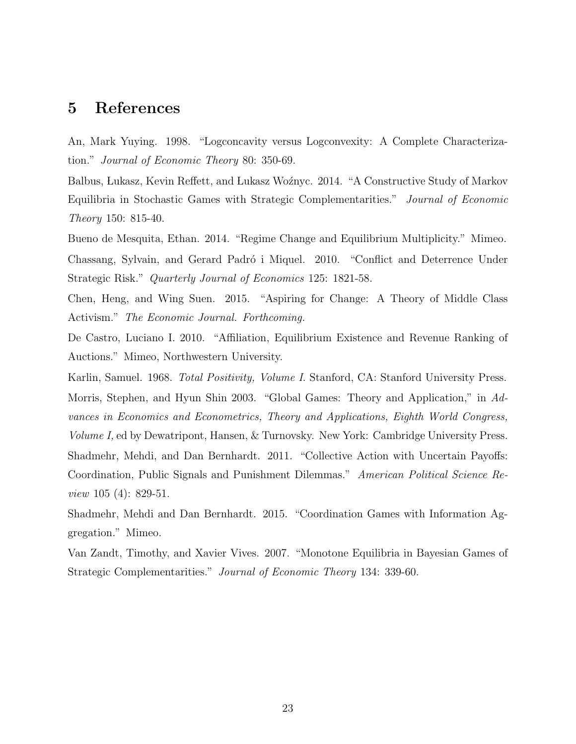### 5 References

An, Mark Yuying. 1998. "Logconcavity versus Logconvexity: A Complete Characterization." Journal of Economic Theory 80: 350-69.

Balbus, Lukasz, Kevin Reffett, and Lukasz Woźnyc. 2014. "A Constructive Study of Markov Equilibria in Stochastic Games with Strategic Complementarities." Journal of Economic Theory 150: 815-40.

Bueno de Mesquita, Ethan. 2014. "Regime Change and Equilibrium Multiplicity." Mimeo. Chassang, Sylvain, and Gerard Padró i Miquel. 2010. "Conflict and Deterrence Under Strategic Risk." Quarterly Journal of Economics 125: 1821-58.

Chen, Heng, and Wing Suen. 2015. "Aspiring for Change: A Theory of Middle Class Activism." The Economic Journal. Forthcoming.

De Castro, Luciano I. 2010. "Affiliation, Equilibrium Existence and Revenue Ranking of Auctions." Mimeo, Northwestern University.

Karlin, Samuel. 1968. Total Positivity, Volume I. Stanford, CA: Stanford University Press. Morris, Stephen, and Hyun Shin 2003. "Global Games: Theory and Application," in Advances in Economics and Econometrics, Theory and Applications, Eighth World Congress, Volume I, ed by Dewatripont, Hansen, & Turnovsky. New York: Cambridge University Press. Shadmehr, Mehdi, and Dan Bernhardt. 2011. "Collective Action with Uncertain Payoffs: Coordination, Public Signals and Punishment Dilemmas." American Political Science Review 105 (4): 829-51.

Shadmehr, Mehdi and Dan Bernhardt. 2015. "Coordination Games with Information Aggregation." Mimeo.

Van Zandt, Timothy, and Xavier Vives. 2007. "Monotone Equilibria in Bayesian Games of Strategic Complementarities." Journal of Economic Theory 134: 339-60.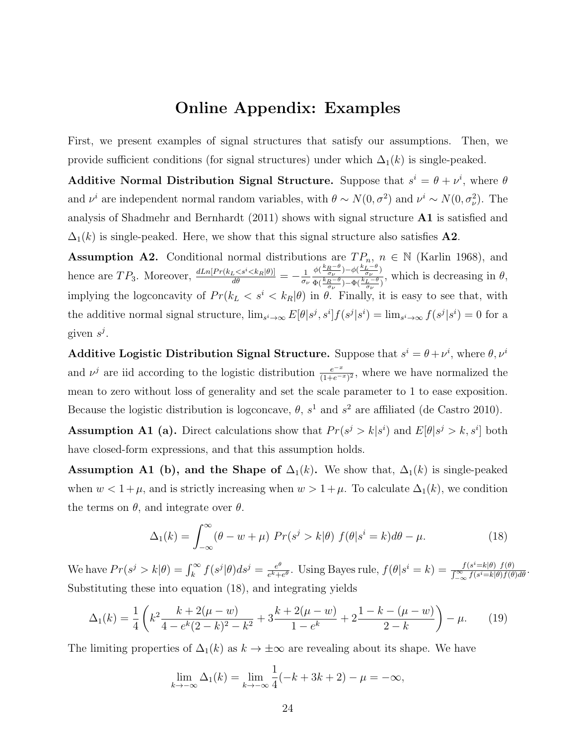# Online Appendix: Examples

First, we present examples of signal structures that satisfy our assumptions. Then, we provide sufficient conditions (for signal structures) under which  $\Delta_1(k)$  is single-peaked.

Additive Normal Distribution Signal Structure. Suppose that  $s^i = \theta + \nu^i$ , where  $\theta$ and  $\nu^i$  are independent normal random variables, with  $\theta \sim N(0, \sigma^2)$  and  $\nu^i \sim N(0, \sigma^2)$ . The analysis of Shadmehr and Bernhardt (2011) shows with signal structure A1 is satisfied and  $\Delta_1(k)$  is single-peaked. Here, we show that this signal structure also satisfies A2.

**Assumption A2.** Conditional normal distributions are  $TP_n$ ,  $n \in \mathbb{N}$  (Karlin 1968), and hence are  $TP_3$ . Moreover,  $\frac{dLn[Pr(k_L < s^i < k_R|\theta)]}{d\theta} = -\frac{1}{\sigma_i}$ σν  $\phi\left(\frac{k_R-\theta}{\sigma_{\nu}}\right)-\phi\left(\frac{k_L-\theta}{\sigma_{\nu}}\right)$  $\frac{\phi(-\sigma_{\nu})^{-\phi(-\sigma_{\nu})}}{\Phi(\frac{k_R-\theta}{\sigma_{\nu}})-\Phi(\frac{k_L-\theta}{\sigma_{\nu}})},$  which is decreasing in  $\theta$ , implying the logconcavity of  $Pr(k_L < s^i < k_R|\theta)$  in  $\theta$ . Finally, it is easy to see that, with the additive normal signal structure,  $\lim_{s^i \to \infty} E[\theta|s^j, s^i] f(s^j | s^i) = \lim_{s^i \to \infty} f(s^j | s^i) = 0$  for a given  $s^j$ .

**Additive Logistic Distribution Signal Structure.** Suppose that  $s^i = \theta + \nu^i$ , where  $\theta, \nu^i$ and  $\nu^{j}$  are iid according to the logistic distribution  $\frac{e^{-x}}{(1+e^{-x})^{2}}$ , where we have normalized the mean to zero without loss of generality and set the scale parameter to 1 to ease exposition. Because the logistic distribution is logconcave,  $\theta$ ,  $s^1$  and  $s^2$  are affiliated (de Castro 2010).

**Assumption A1 (a).** Direct calculations show that  $Pr(s^j > k | s^i)$  and  $E[\theta | s^j > k, s^i]$  both have closed-form expressions, and that this assumption holds.

Assumption A1 (b), and the Shape of  $\Delta_1(k)$ . We show that,  $\Delta_1(k)$  is single-peaked when  $w < 1 + \mu$ , and is strictly increasing when  $w > 1 + \mu$ . To calculate  $\Delta_1(k)$ , we condition the terms on  $\theta$ , and integrate over  $\theta$ .

$$
\Delta_1(k) = \int_{-\infty}^{\infty} (\theta - w + \mu) \ Pr(s^j > k | \theta) \ f(\theta | s^i = k) d\theta - \mu.
$$
 (18)

We have  $Pr(s^j > k | \theta) = \int_k^{\infty} f(s^j | \theta) ds^j = \frac{e^{\theta}}{e^k + 1}$  $\frac{e^{\theta}}{e^k+e^{\theta}}$ . Using Bayes rule,  $f(\theta|s^i=k) = \frac{f(s^i=k|\theta) f(\theta)}{\int_{-\infty}^{\infty} f(s^i=k|\theta) f(\theta)}$  $\frac{f(s^{\circ}=\kappa|\theta) f(\theta)}{\int_{-\infty}^{\infty} f(s^i=\kappa|\theta) f(\theta) d\theta}.$ Substituting these into equation (18), and integrating yields

$$
\Delta_1(k) = \frac{1}{4} \left( k^2 \frac{k + 2(\mu - w)}{4 - e^k (2 - k)^2 - k^2} + 3 \frac{k + 2(\mu - w)}{1 - e^k} + 2 \frac{1 - k - (\mu - w)}{2 - k} \right) - \mu. \tag{19}
$$

The limiting properties of  $\Delta_1(k)$  as  $k \to \pm \infty$  are revealing about its shape. We have

$$
\lim_{k \to -\infty} \Delta_1(k) = \lim_{k \to -\infty} \frac{1}{4}(-k + 3k + 2) - \mu = -\infty,
$$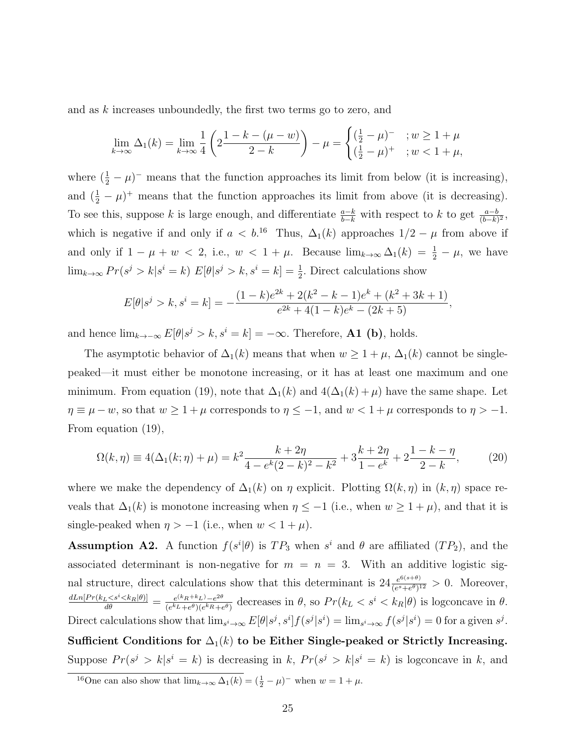and as k increases unboundedly, the first two terms go to zero, and

$$
\lim_{k \to \infty} \Delta_1(k) = \lim_{k \to \infty} \frac{1}{4} \left( 2 \frac{1 - k - (\mu - w)}{2 - k} \right) - \mu = \begin{cases} (\frac{1}{2} - \mu)^{-} & ; w \ge 1 + \mu \\ (\frac{1}{2} - \mu)^{+} & ; w < 1 + \mu, \end{cases}
$$

where  $(\frac{1}{2} - \mu)^{-}$  means that the function approaches its limit from below (it is increasing), and  $(\frac{1}{2} - \mu)^+$  means that the function approaches its limit from above (it is decreasing). To see this, suppose k is large enough, and differentiate  $\frac{a-k}{b-k}$  with respect to k to get  $\frac{a-b}{(b-k)^2}$ , which is negative if and only if  $a < b$ <sup>16</sup> Thus,  $\Delta_1(k)$  approaches  $1/2 - \mu$  from above if and only if  $1 - \mu + w < 2$ , i.e.,  $w < 1 + \mu$ . Because  $\lim_{k \to \infty} \Delta_1(k) = \frac{1}{2} - \mu$ , we have  $\lim_{k\to\infty} Pr(s^j > k | s^i = k) E[\theta | s^j > k, s^i = k] = \frac{1}{2}$ . Direct calculations show

$$
E[\theta|s^j > k, s^i = k] = -\frac{(1-k)e^{2k} + 2(k^2 - k - 1)e^k + (k^2 + 3k + 1)}{e^{2k} + 4(1-k)e^k - (2k + 5)},
$$

and hence  $\lim_{k\to-\infty} E[\theta] s^j > k, s^i = k] = -\infty$ . Therefore, **A1** (b), holds.

The asymptotic behavior of  $\Delta_1(k)$  means that when  $w \geq 1 + \mu$ ,  $\Delta_1(k)$  cannot be singlepeaked—it must either be monotone increasing, or it has at least one maximum and one minimum. From equation (19), note that  $\Delta_1(k)$  and  $4(\Delta_1(k) + \mu)$  have the same shape. Let  $\eta \equiv \mu - w$ , so that  $w \ge 1 + \mu$  corresponds to  $\eta \le -1$ , and  $w < 1 + \mu$  corresponds to  $\eta > -1$ . From equation (19),

$$
\Omega(k,\eta) \equiv 4(\Delta_1(k;\eta) + \mu) = k^2 \frac{k+2\eta}{4 - e^k(2-k)^2 - k^2} + 3\frac{k+2\eta}{1 - e^k} + 2\frac{1-k-\eta}{2-k},\tag{20}
$$

where we make the dependency of  $\Delta_1(k)$  on  $\eta$  explicit. Plotting  $\Omega(k, \eta)$  in  $(k, \eta)$  space reveals that  $\Delta_1(k)$  is monotone increasing when  $\eta \leq -1$  (i.e., when  $w \geq 1 + \mu$ ), and that it is single-peaked when  $\eta > -1$  (i.e., when  $w < 1 + \mu$ ).

**Assumption A2.** A function  $f(s^i|\theta)$  is  $TP_3$  when  $s^i$  and  $\theta$  are affiliated  $(TP_2)$ , and the associated determinant is non-negative for  $m = n = 3$ . With an additive logistic signal structure, direct calculations show that this determinant is  $24 \frac{e^{6(s+\theta)}}{(e^s+\theta)^3}$  $\frac{e^{\mathfrak{S}(s+v)}}{(e^s+e^{\theta})^{12}} > 0$ . Moreover,  $\frac{dLn[Pr(k_L < s^i < k_R|\theta)]}{d\theta} = \frac{e^{(k_R+k_L)}-e^{2\theta}}{(e^{k_L}+e^{\theta})(e^{k_R}+e^{\theta})}$  $\frac{e^{(k_R+k_L)}-e^{2\theta}}{(e^{k_L}+e^{\theta})(e^{k_R}+e^{\theta})}$  decreases in  $\theta$ , so  $Pr(k_L < s^i < k_R|\theta)$  is logconcave in  $\theta$ . Direct calculations show that  $\lim_{s^i\to\infty} E[\theta|s^j, s^i] f(s^j|s^i) = \lim_{s^i\to\infty} f(s^j|s^i) = 0$  for a given  $s^j$ . Sufficient Conditions for  $\Delta_1(k)$  to be Either Single-peaked or Strictly Increasing. Suppose  $Pr(s^j > k | s^i = k)$  is decreasing in k,  $Pr(s^j > k | s^i = k)$  is logconcave in k, and

<sup>&</sup>lt;sup>16</sup>One can also show that  $\lim_{k\to\infty} \Delta_1(k) = (\frac{1}{2} - \mu)^{-1}$  when  $w = 1 + \mu$ .